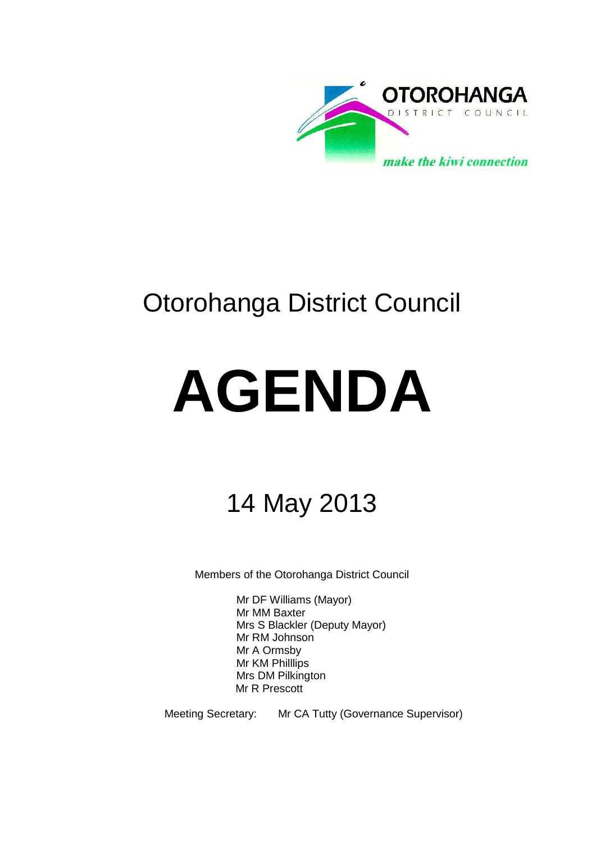

# Otorohanga District Council

# **AGENDA**

# 14 May 2013

Members of the Otorohanga District Council

Mr DF Williams (Mayor) Mr MM Baxter Mrs S Blackler (Deputy Mayor) Mr RM Johnson Mr A Ormsby Mr KM Philllips Mrs DM Pilkington Mr R Prescott

Meeting Secretary: Mr CA Tutty (Governance Supervisor)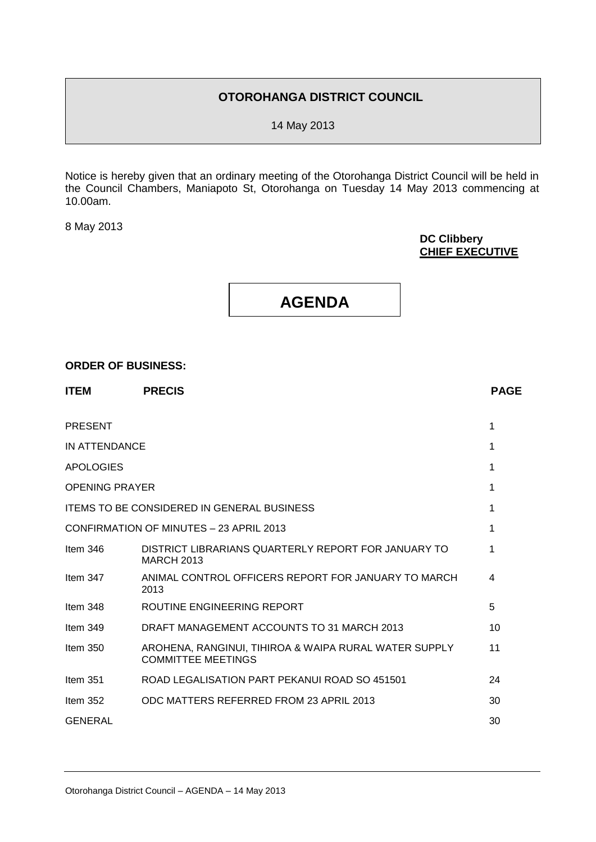# **OTOROHANGA DISTRICT COUNCIL**

14 May 2013

Notice is hereby given that an ordinary meeting of the Otorohanga District Council will be held in the Council Chambers, Maniapoto St, Otorohanga on Tuesday 14 May 2013 commencing at 10.00am.

8 May 2013

# **DC Clibbery CHIEF EXECUTIVE**

# **AGENDA**

# **ORDER OF BUSINESS:**

| <b>ITEM</b>           | <b>PRECIS</b>                                                                      | <b>PAGE</b> |
|-----------------------|------------------------------------------------------------------------------------|-------------|
| <b>PRESENT</b>        |                                                                                    | 1           |
| IN ATTENDANCE         |                                                                                    | 1           |
| <b>APOLOGIES</b>      |                                                                                    | 1           |
| <b>OPENING PRAYER</b> |                                                                                    | 1           |
|                       | <b>ITEMS TO BE CONSIDERED IN GENERAL BUSINESS</b>                                  | 1           |
|                       | CONFIRMATION OF MINUTES - 23 APRIL 2013                                            | 1           |
| Item $346$            | DISTRICT LIBRARIANS QUARTERLY REPORT FOR JANUARY TO<br><b>MARCH 2013</b>           | 1           |
| Item $347$            | ANIMAL CONTROL OFFICERS REPORT FOR JANUARY TO MARCH<br>2013                        | 4           |
| Item $348$            | ROUTINE ENGINEERING REPORT                                                         | 5           |
| Item $349$            | DRAFT MANAGEMENT ACCOUNTS TO 31 MARCH 2013                                         | 10          |
| Item $350$            | AROHENA, RANGINUI, TIHIROA & WAIPA RURAL WATER SUPPLY<br><b>COMMITTEE MEETINGS</b> | 11          |
| Item 351              | ROAD LEGALISATION PART PEKANUI ROAD SO 451501                                      | 24          |
| Item $352$            | ODC MATTERS REFERRED FROM 23 APRIL 2013                                            | 30          |
| <b>GENERAL</b>        |                                                                                    | 30          |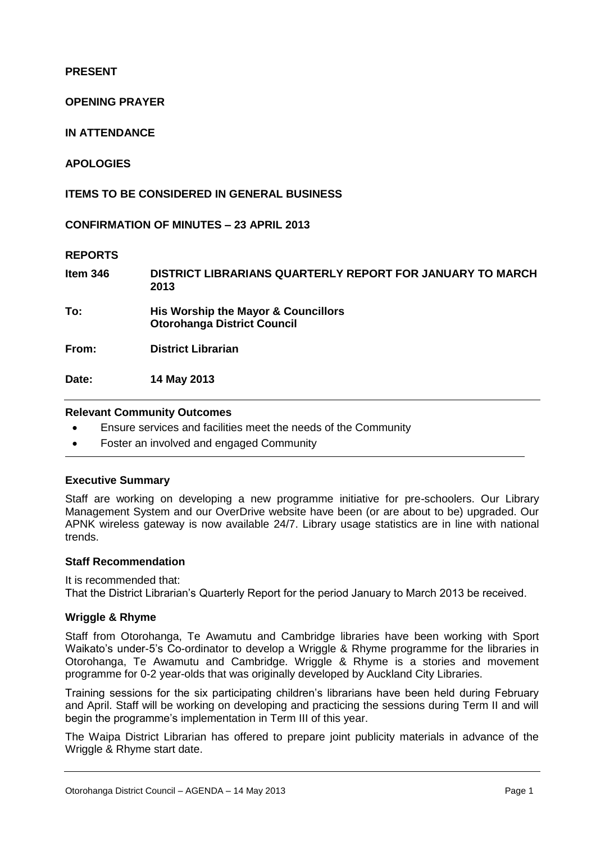**PRESENT**

# **OPENING PRAYER**

**IN ATTENDANCE**

# **APOLOGIES**

**ITEMS TO BE CONSIDERED IN GENERAL BUSINESS**

**CONFIRMATION OF MINUTES – 23 APRIL 2013** 

# **REPORTS**

| Item 346 | DISTRICT LIBRARIANS QUARTERLY REPORT FOR JANUARY TO MARCH<br>2013         |
|----------|---------------------------------------------------------------------------|
| To:      | His Worship the Mayor & Councillors<br><b>Otorohanga District Council</b> |
| From:    | <b>District Librarian</b>                                                 |
| Date:    | 14 May 2013                                                               |

## **Relevant Community Outcomes**

- Ensure services and facilities meet the needs of the Community
- Foster an involved and engaged Community

# **Executive Summary**

Staff are working on developing a new programme initiative for pre-schoolers. Our Library Management System and our OverDrive website have been (or are about to be) upgraded. Our APNK wireless gateway is now available 24/7. Library usage statistics are in line with national trends.

# **Staff Recommendation**

It is recommended that: That the District Librarian's Quarterly Report for the period January to March 2013 be received.

# **Wriggle & Rhyme**

Staff from Otorohanga, Te Awamutu and Cambridge libraries have been working with Sport Waikato's under-5's Co-ordinator to develop a Wriggle & Rhyme programme for the libraries in Otorohanga, Te Awamutu and Cambridge. Wriggle & Rhyme is a stories and movement programme for 0-2 year-olds that was originally developed by Auckland City Libraries.

Training sessions for the six participating children's librarians have been held during February and April. Staff will be working on developing and practicing the sessions during Term II and will begin the programme's implementation in Term III of this year.

The Waipa District Librarian has offered to prepare joint publicity materials in advance of the Wriggle & Rhyme start date.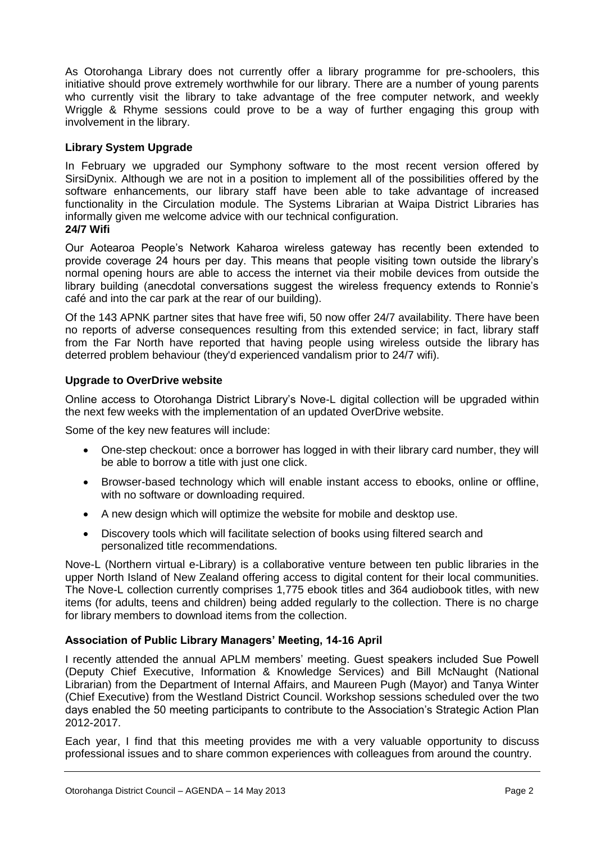As Otorohanga Library does not currently offer a library programme for pre-schoolers, this initiative should prove extremely worthwhile for our library. There are a number of young parents who currently visit the library to take advantage of the free computer network, and weekly Wriggle & Rhyme sessions could prove to be a way of further engaging this group with involvement in the library.

# **Library System Upgrade**

In February we upgraded our Symphony software to the most recent version offered by SirsiDynix. Although we are not in a position to implement all of the possibilities offered by the software enhancements, our library staff have been able to take advantage of increased functionality in the Circulation module. The Systems Librarian at Waipa District Libraries has informally given me welcome advice with our technical configuration. **24/7 Wifi**

Our Aotearoa People's Network Kaharoa wireless gateway has recently been extended to provide coverage 24 hours per day. This means that people visiting town outside the library's normal opening hours are able to access the internet via their mobile devices from outside the library building (anecdotal conversations suggest the wireless frequency extends to Ronnie's café and into the car park at the rear of our building).

Of the 143 APNK partner sites that have free wifi, 50 now offer 24/7 availability. There have been no reports of adverse consequences resulting from this extended service; in fact, library staff from the Far North have reported that having people using wireless outside the library has deterred problem behaviour (they'd experienced vandalism prior to 24/7 wifi).

# **Upgrade to OverDrive website**

Online access to Otorohanga District Library's Nove-L digital collection will be upgraded within the next few weeks with the implementation of an updated OverDrive website.

Some of the key new features will include:

- One-step checkout: once a borrower has logged in with their library card number, they will be able to borrow a title with just one click.
- Browser-based technology which will enable instant access to ebooks, online or offline, with no software or downloading required.
- A new design which will optimize the website for mobile and desktop use.
- Discovery tools which will facilitate selection of books using filtered search and personalized title recommendations.

Nove-L (Northern virtual e-Library) is a collaborative venture between ten public libraries in the upper North Island of New Zealand offering access to digital content for their local communities. The Nove-L collection currently comprises 1,775 ebook titles and 364 audiobook titles, with new items (for adults, teens and children) being added regularly to the collection. There is no charge for library members to download items from the collection.

# **Association of Public Library Managers' Meeting, 14-16 April**

I recently attended the annual APLM members' meeting. Guest speakers included Sue Powell (Deputy Chief Executive, Information & Knowledge Services) and Bill McNaught (National Librarian) from the Department of Internal Affairs, and Maureen Pugh (Mayor) and Tanya Winter (Chief Executive) from the Westland District Council. Workshop sessions scheduled over the two days enabled the 50 meeting participants to contribute to the Association's Strategic Action Plan 2012-2017.

Each year, I find that this meeting provides me with a very valuable opportunity to discuss professional issues and to share common experiences with colleagues from around the country.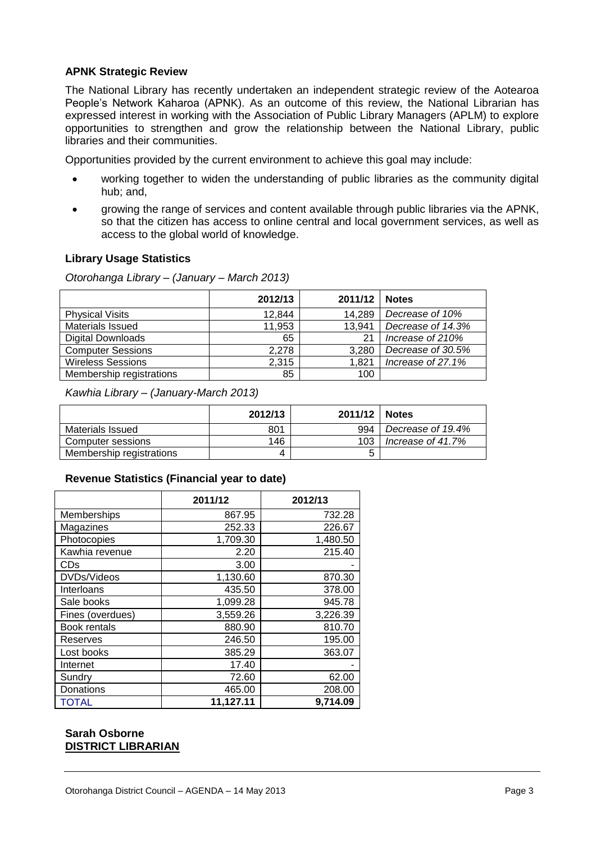# **APNK Strategic Review**

The National Library has recently undertaken an independent strategic review of the Aotearoa People's Network Kaharoa (APNK). As an outcome of this review, the National Librarian has expressed interest in working with the Association of Public Library Managers (APLM) to explore opportunities to strengthen and grow the relationship between the National Library, public libraries and their communities.

Opportunities provided by the current environment to achieve this goal may include:

- working together to widen the understanding of public libraries as the community digital hub; and,
- growing the range of services and content available through public libraries via the APNK, so that the citizen has access to online central and local government services, as well as access to the global world of knowledge.

# **Library Usage Statistics**

*Otorohanga Library – (January – March 2013)*

|                          | 2012/13 | 2011/12 | <b>Notes</b>      |
|--------------------------|---------|---------|-------------------|
| <b>Physical Visits</b>   | 12,844  | 14.289  | Decrease of 10%   |
| <b>Materials Issued</b>  | 11,953  | 13.941  | Decrease of 14.3% |
| <b>Digital Downloads</b> | 65      | 21      | Increase of 210%  |
| <b>Computer Sessions</b> | 2.278   | 3,280   | Decrease of 30.5% |
| <b>Wireless Sessions</b> | 2,315   | 1.821   | Increase of 27.1% |
| Membership registrations | 85      | 100     |                   |

*Kawhia Library – (January-March 2013)*

|                          | 2012/13 | 2011/12 | <b>Notes</b>      |
|--------------------------|---------|---------|-------------------|
| Materials Issued         | 801     | 994     | Decrease of 19.4% |
| Computer sessions        | 146     | 103     | Increase of 41.7% |
| Membership registrations |         | ∽       |                   |

# **Revenue Statistics (Financial year to date)**

|                  | 2011/12   | 2012/13  |
|------------------|-----------|----------|
| Memberships      | 867.95    | 732.28   |
| Magazines        | 252.33    | 226.67   |
| Photocopies      | 1,709.30  | 1,480.50 |
| Kawhia revenue   | 2.20      | 215.40   |
| CDs              | 3.00      |          |
| DVDs/Videos      | 1,130.60  | 870.30   |
| Interloans       | 435.50    | 378.00   |
| Sale books       | 1,099.28  | 945.78   |
| Fines (overdues) | 3,559.26  | 3,226.39 |
| Book rentals     | 880.90    | 810.70   |
| Reserves         | 246.50    | 195.00   |
| Lost books       | 385.29    | 363.07   |
| Internet         | 17.40     |          |
| Sundry           | 72.60     | 62.00    |
| Donations        | 465.00    | 208.00   |
| <b>TOTAL</b>     | 11,127.11 | 9.714.09 |

# **Sarah Osborne DISTRICT LIBRARIAN**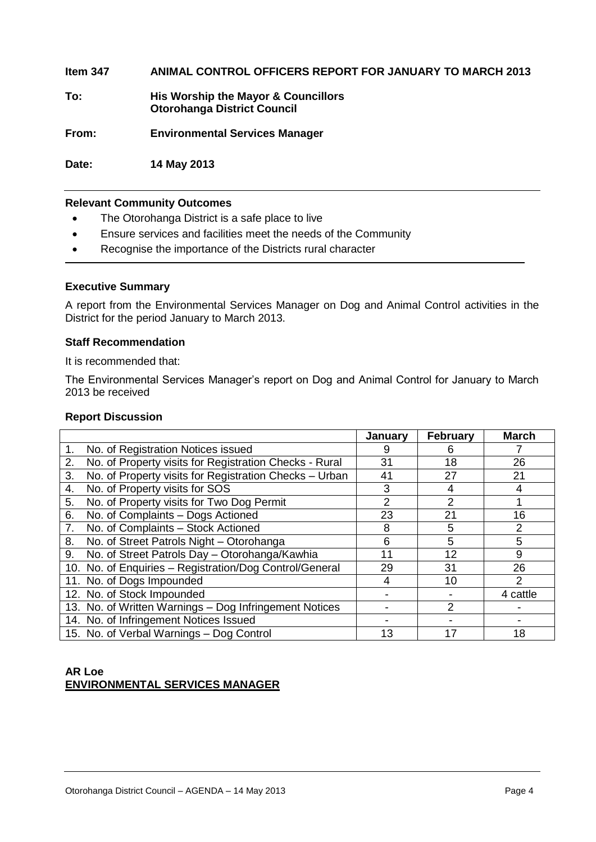**Item 347 ANIMAL CONTROL OFFICERS REPORT FOR JANUARY TO MARCH 2013**

**To: His Worship the Mayor & Councillors Otorohanga District Council**

**From: Environmental Services Manager**

**Date: 14 May 2013**

# **Relevant Community Outcomes**

- The Otorohanga District is a safe place to live
- Ensure services and facilities meet the needs of the Community
- Recognise the importance of the Districts rural character

# **Executive Summary**

A report from the Environmental Services Manager on Dog and Animal Control activities in the District for the period January to March 2013.

## **Staff Recommendation**

It is recommended that:

The Environmental Services Manager's report on Dog and Animal Control for January to March 2013 be received

# **Report Discussion**

|                                                              | January | <b>February</b> | <b>March</b> |
|--------------------------------------------------------------|---------|-----------------|--------------|
| No. of Registration Notices issued<br>1.                     |         | ჩ               |              |
| No. of Property visits for Registration Checks - Rural<br>2. | 31      | 18              | 26           |
| No. of Property visits for Registration Checks - Urban<br>3. | 41      | 27              | 21           |
| No. of Property visits for SOS<br>4.                         | 3       | 4               |              |
| No. of Property visits for Two Dog Permit<br>5.              | 2       | 2               |              |
| No. of Complaints - Dogs Actioned<br>6.                      | 23      | 21              | 16           |
| No. of Complaints - Stock Actioned<br>7.                     | 8       | 5               | 2            |
| No. of Street Patrols Night - Otorohanga<br>8.               | 6       | 5               | 5            |
| No. of Street Patrols Day - Otorohanga/Kawhia<br>9.          | 11      | 12              | 9            |
| 10. No. of Enquiries - Registration/Dog Control/General      | 29      | 31              | 26           |
| 11. No. of Dogs Impounded                                    | 4       | 10              | 2            |
| 12. No. of Stock Impounded                                   |         |                 | 4 cattle     |
| 13. No. of Written Warnings - Dog Infringement Notices       |         | $\mathcal{P}$   |              |
| 14. No. of Infringement Notices Issued                       |         |                 |              |
| 15. No. of Verbal Warnings - Dog Control                     | 13      |                 | 18           |

# **AR Loe ENVIRONMENTAL SERVICES MANAGER**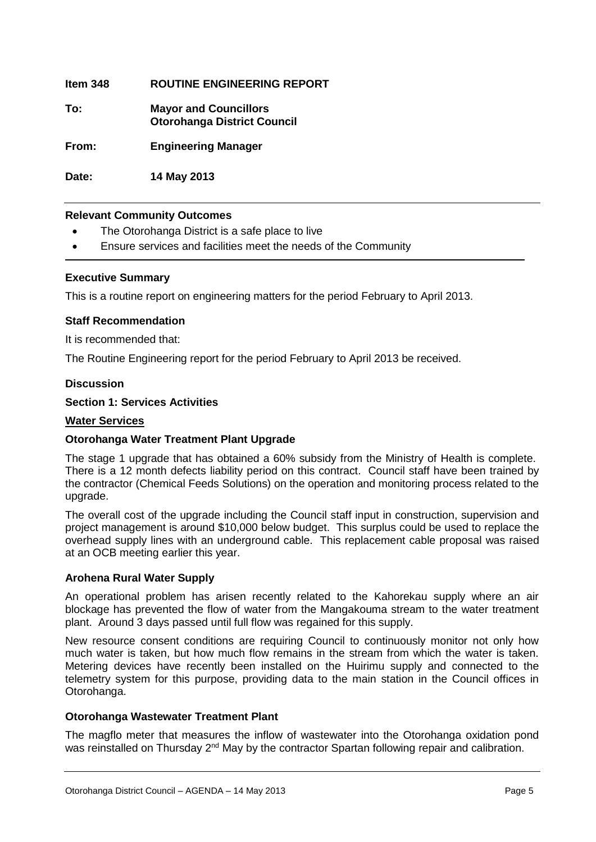**Item 348 ROUTINE ENGINEERING REPORT**

**To: Mayor and Councillors Otorohanga District Council**

**From: Engineering Manager**

**Date: 14 May 2013**

# **Relevant Community Outcomes**

- The Otorohanga District is a safe place to live
- Ensure services and facilities meet the needs of the Community

# **Executive Summary**

This is a routine report on engineering matters for the period February to April 2013.

# **Staff Recommendation**

It is recommended that:

The Routine Engineering report for the period February to April 2013 be received.

# **Discussion**

# **Section 1: Services Activities**

# **Water Services**

# **Otorohanga Water Treatment Plant Upgrade**

The stage 1 upgrade that has obtained a 60% subsidy from the Ministry of Health is complete. There is a 12 month defects liability period on this contract. Council staff have been trained by the contractor (Chemical Feeds Solutions) on the operation and monitoring process related to the upgrade.

The overall cost of the upgrade including the Council staff input in construction, supervision and project management is around \$10,000 below budget. This surplus could be used to replace the overhead supply lines with an underground cable. This replacement cable proposal was raised at an OCB meeting earlier this year.

# **Arohena Rural Water Supply**

An operational problem has arisen recently related to the Kahorekau supply where an air blockage has prevented the flow of water from the Mangakouma stream to the water treatment plant. Around 3 days passed until full flow was regained for this supply.

New resource consent conditions are requiring Council to continuously monitor not only how much water is taken, but how much flow remains in the stream from which the water is taken. Metering devices have recently been installed on the Huirimu supply and connected to the telemetry system for this purpose, providing data to the main station in the Council offices in Otorohanga.

# **Otorohanga Wastewater Treatment Plant**

The magflo meter that measures the inflow of wastewater into the Otorohanga oxidation pond was reinstalled on Thursday 2<sup>nd</sup> May by the contractor Spartan following repair and calibration.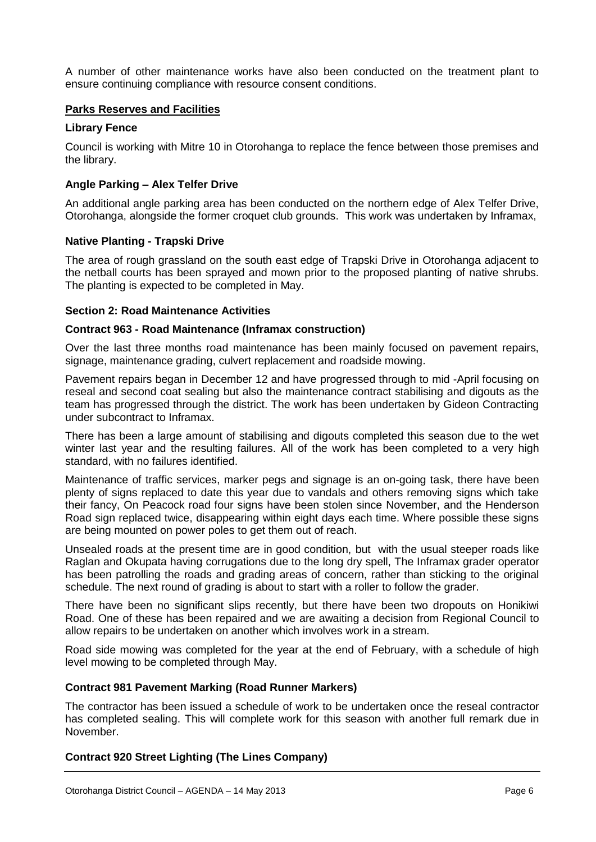A number of other maintenance works have also been conducted on the treatment plant to ensure continuing compliance with resource consent conditions.

# **Parks Reserves and Facilities**

# **Library Fence**

Council is working with Mitre 10 in Otorohanga to replace the fence between those premises and the library.

# **Angle Parking – Alex Telfer Drive**

An additional angle parking area has been conducted on the northern edge of Alex Telfer Drive, Otorohanga, alongside the former croquet club grounds. This work was undertaken by Inframax,

# **Native Planting - Trapski Drive**

The area of rough grassland on the south east edge of Trapski Drive in Otorohanga adjacent to the netball courts has been sprayed and mown prior to the proposed planting of native shrubs. The planting is expected to be completed in May.

# **Section 2: Road Maintenance Activities**

# **Contract 963 - Road Maintenance (Inframax construction)**

Over the last three months road maintenance has been mainly focused on pavement repairs, signage, maintenance grading, culvert replacement and roadside mowing.

Pavement repairs began in December 12 and have progressed through to mid -April focusing on reseal and second coat sealing but also the maintenance contract stabilising and digouts as the team has progressed through the district. The work has been undertaken by Gideon Contracting under subcontract to Inframax.

There has been a large amount of stabilising and digouts completed this season due to the wet winter last year and the resulting failures. All of the work has been completed to a very high standard, with no failures identified.

Maintenance of traffic services, marker pegs and signage is an on-going task, there have been plenty of signs replaced to date this year due to vandals and others removing signs which take their fancy, On Peacock road four signs have been stolen since November, and the Henderson Road sign replaced twice, disappearing within eight days each time. Where possible these signs are being mounted on power poles to get them out of reach.

Unsealed roads at the present time are in good condition, but with the usual steeper roads like Raglan and Okupata having corrugations due to the long dry spell, The Inframax grader operator has been patrolling the roads and grading areas of concern, rather than sticking to the original schedule. The next round of grading is about to start with a roller to follow the grader.

There have been no significant slips recently, but there have been two dropouts on Honikiwi Road. One of these has been repaired and we are awaiting a decision from Regional Council to allow repairs to be undertaken on another which involves work in a stream.

Road side mowing was completed for the year at the end of February, with a schedule of high level mowing to be completed through May.

# **Contract 981 Pavement Marking (Road Runner Markers)**

The contractor has been issued a schedule of work to be undertaken once the reseal contractor has completed sealing. This will complete work for this season with another full remark due in November.

# **Contract 920 Street Lighting (The Lines Company)**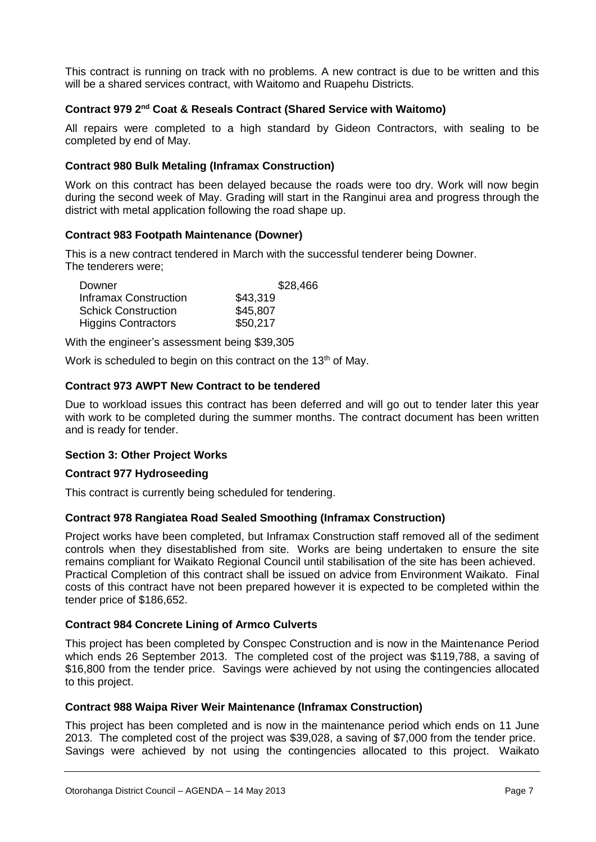This contract is running on track with no problems. A new contract is due to be written and this will be a shared services contract, with Waitomo and Ruapehu Districts.

# **Contract 979 2nd Coat & Reseals Contract (Shared Service with Waitomo)**

All repairs were completed to a high standard by Gideon Contractors, with sealing to be completed by end of May.

# **Contract 980 Bulk Metaling (Inframax Construction)**

Work on this contract has been delayed because the roads were too dry. Work will now begin during the second week of May. Grading will start in the Ranginui area and progress through the district with metal application following the road shape up.

# **Contract 983 Footpath Maintenance (Downer)**

This is a new contract tendered in March with the successful tenderer being Downer. The tenderers were;

| Downer                     | \$28,466 |
|----------------------------|----------|
| Inframax Construction      | \$43,319 |
| <b>Schick Construction</b> | \$45,807 |
| <b>Higgins Contractors</b> | \$50,217 |

With the engineer's assessment being \$39,305

Work is scheduled to begin on this contract on the 13<sup>th</sup> of May.

# **Contract 973 AWPT New Contract to be tendered**

Due to workload issues this contract has been deferred and will go out to tender later this year with work to be completed during the summer months. The contract document has been written and is ready for tender.

# **Section 3: Other Project Works**

# **Contract 977 Hydroseeding**

This contract is currently being scheduled for tendering.

# **Contract 978 Rangiatea Road Sealed Smoothing (Inframax Construction)**

Project works have been completed, but Inframax Construction staff removed all of the sediment controls when they disestablished from site. Works are being undertaken to ensure the site remains compliant for Waikato Regional Council until stabilisation of the site has been achieved. Practical Completion of this contract shall be issued on advice from Environment Waikato. Final costs of this contract have not been prepared however it is expected to be completed within the tender price of \$186,652.

# **Contract 984 Concrete Lining of Armco Culverts**

This project has been completed by Conspec Construction and is now in the Maintenance Period which ends 26 September 2013. The completed cost of the project was \$119,788, a saving of \$16,800 from the tender price. Savings were achieved by not using the contingencies allocated to this project.

# **Contract 988 Waipa River Weir Maintenance (Inframax Construction)**

This project has been completed and is now in the maintenance period which ends on 11 June 2013. The completed cost of the project was \$39,028, a saving of \$7,000 from the tender price. Savings were achieved by not using the contingencies allocated to this project. Waikato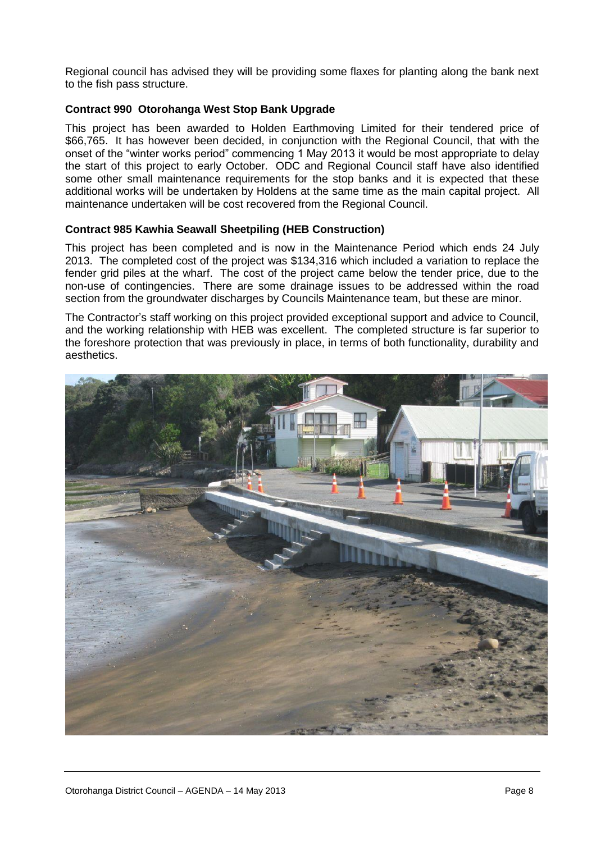Regional council has advised they will be providing some flaxes for planting along the bank next to the fish pass structure.

# **Contract 990 Otorohanga West Stop Bank Upgrade**

This project has been awarded to Holden Earthmoving Limited for their tendered price of \$66,765. It has however been decided, in conjunction with the Regional Council, that with the onset of the "winter works period" commencing 1 May 2013 it would be most appropriate to delay the start of this project to early October. ODC and Regional Council staff have also identified some other small maintenance requirements for the stop banks and it is expected that these additional works will be undertaken by Holdens at the same time as the main capital project. All maintenance undertaken will be cost recovered from the Regional Council.

# **Contract 985 Kawhia Seawall Sheetpiling (HEB Construction)**

This project has been completed and is now in the Maintenance Period which ends 24 July 2013. The completed cost of the project was \$134,316 which included a variation to replace the fender grid piles at the wharf. The cost of the project came below the tender price, due to the non-use of contingencies. There are some drainage issues to be addressed within the road section from the groundwater discharges by Councils Maintenance team, but these are minor.

The Contractor's staff working on this project provided exceptional support and advice to Council, and the working relationship with HEB was excellent. The completed structure is far superior to the foreshore protection that was previously in place, in terms of both functionality, durability and aesthetics.

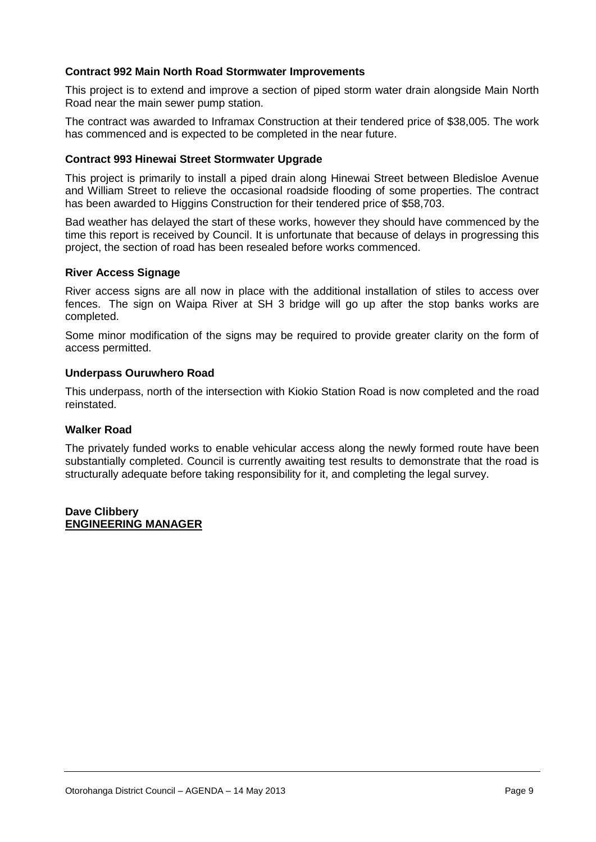# **Contract 992 Main North Road Stormwater Improvements**

This project is to extend and improve a section of piped storm water drain alongside Main North Road near the main sewer pump station.

The contract was awarded to Inframax Construction at their tendered price of \$38,005. The work has commenced and is expected to be completed in the near future.

# **Contract 993 Hinewai Street Stormwater Upgrade**

This project is primarily to install a piped drain along Hinewai Street between Bledisloe Avenue and William Street to relieve the occasional roadside flooding of some properties. The contract has been awarded to Higgins Construction for their tendered price of \$58,703.

Bad weather has delayed the start of these works, however they should have commenced by the time this report is received by Council. It is unfortunate that because of delays in progressing this project, the section of road has been resealed before works commenced.

## **River Access Signage**

River access signs are all now in place with the additional installation of stiles to access over fences. The sign on Waipa River at SH 3 bridge will go up after the stop banks works are completed.

Some minor modification of the signs may be required to provide greater clarity on the form of access permitted.

## **Underpass Ouruwhero Road**

This underpass, north of the intersection with Kiokio Station Road is now completed and the road reinstated.

# **Walker Road**

The privately funded works to enable vehicular access along the newly formed route have been substantially completed. Council is currently awaiting test results to demonstrate that the road is structurally adequate before taking responsibility for it, and completing the legal survey.

## **Dave Clibbery ENGINEERING MANAGER**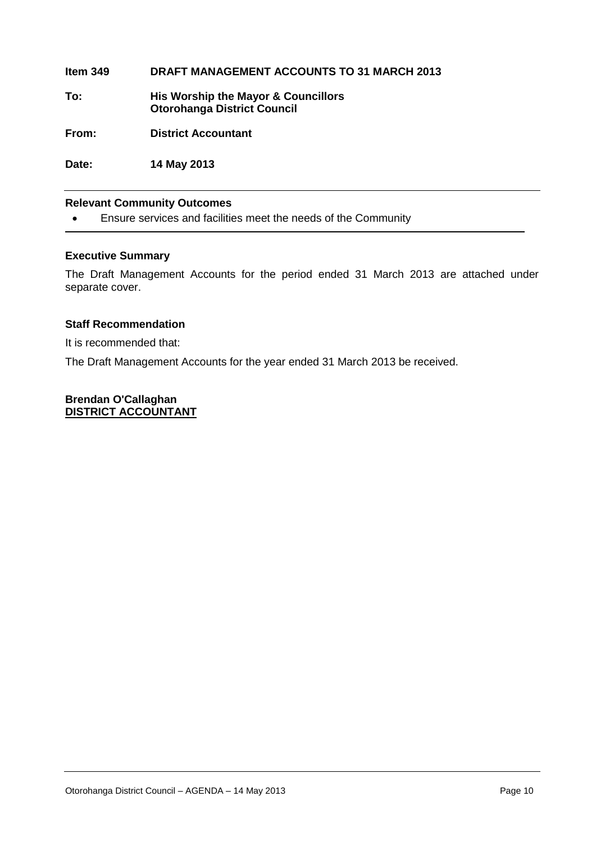**Item 349 DRAFT MANAGEMENT ACCOUNTS TO 31 MARCH 2013 To: His Worship the Mayor & Councillors Otorohanga District Council From: District Accountant**

**Date: 14 May 2013**

# **Relevant Community Outcomes**

Ensure services and facilities meet the needs of the Community

# **Executive Summary**

The Draft Management Accounts for the period ended 31 March 2013 are attached under separate cover.

# **Staff Recommendation**

It is recommended that:

The Draft Management Accounts for the year ended 31 March 2013 be received.

**Brendan O'Callaghan DISTRICT ACCOUNTANT**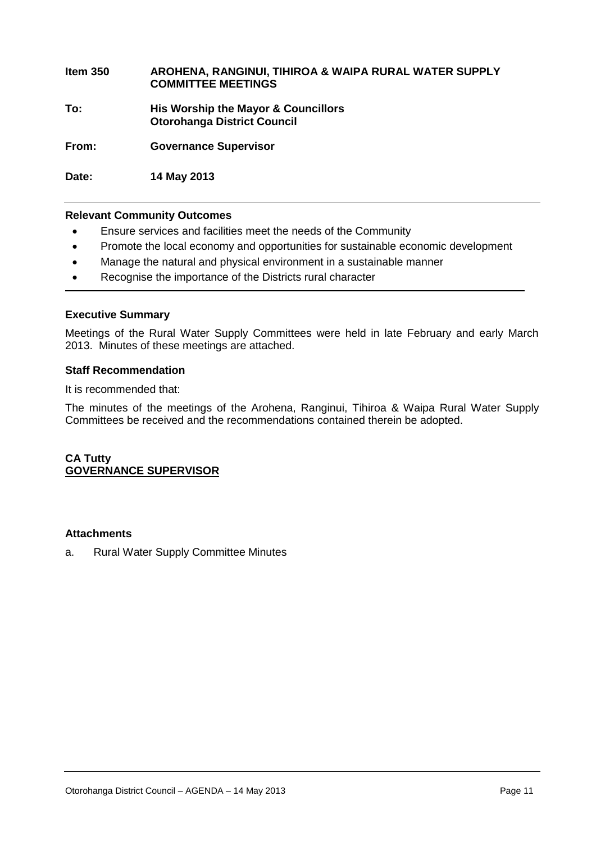**Item 350 AROHENA, RANGINUI, TIHIROA & WAIPA RURAL WATER SUPPLY COMMITTEE MEETINGS To: His Worship the Mayor & Councillors Otorohanga District Council**

**From: Governance Supervisor**

**Date: 14 May 2013** 

# **Relevant Community Outcomes**

- Ensure services and facilities meet the needs of the Community
- Promote the local economy and opportunities for sustainable economic development
- Manage the natural and physical environment in a sustainable manner
- Recognise the importance of the Districts rural character

# **Executive Summary**

Meetings of the Rural Water Supply Committees were held in late February and early March 2013. Minutes of these meetings are attached.

## **Staff Recommendation**

It is recommended that:

The minutes of the meetings of the Arohena, Ranginui, Tihiroa & Waipa Rural Water Supply Committees be received and the recommendations contained therein be adopted.

# **CA Tutty GOVERNANCE SUPERVISOR**

# **Attachments**

a. Rural Water Supply Committee Minutes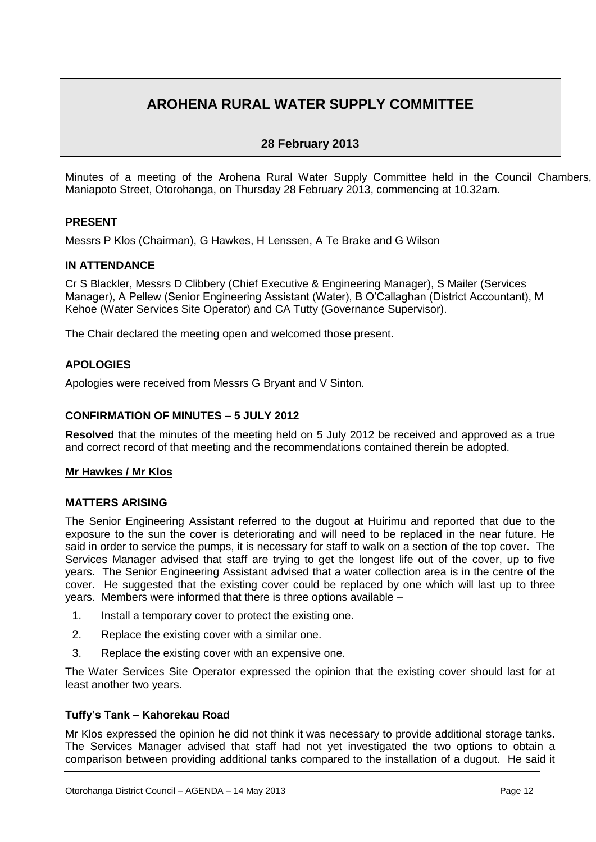# **AROHENA RURAL WATER SUPPLY COMMITTEE**

# **28 February 2013**

Minutes of a meeting of the Arohena Rural Water Supply Committee held in the Council Chambers, Maniapoto Street, Otorohanga, on Thursday 28 February 2013, commencing at 10.32am.

# **PRESENT**

Messrs P Klos (Chairman), G Hawkes, H Lenssen, A Te Brake and G Wilson

# **IN ATTENDANCE**

Cr S Blackler, Messrs D Clibbery (Chief Executive & Engineering Manager), S Mailer (Services Manager), A Pellew (Senior Engineering Assistant (Water), B O'Callaghan (District Accountant), M Kehoe (Water Services Site Operator) and CA Tutty (Governance Supervisor).

The Chair declared the meeting open and welcomed those present.

# **APOLOGIES**

Apologies were received from Messrs G Bryant and V Sinton.

# **CONFIRMATION OF MINUTES – 5 JULY 2012**

**Resolved** that the minutes of the meeting held on 5 July 2012 be received and approved as a true and correct record of that meeting and the recommendations contained therein be adopted.

# **Mr Hawkes / Mr Klos**

# **MATTERS ARISING**

The Senior Engineering Assistant referred to the dugout at Huirimu and reported that due to the exposure to the sun the cover is deteriorating and will need to be replaced in the near future. He said in order to service the pumps, it is necessary for staff to walk on a section of the top cover. The Services Manager advised that staff are trying to get the longest life out of the cover, up to five years. The Senior Engineering Assistant advised that a water collection area is in the centre of the cover. He suggested that the existing cover could be replaced by one which will last up to three years. Members were informed that there is three options available –

- 1. Install a temporary cover to protect the existing one.
- 2. Replace the existing cover with a similar one.
- 3. Replace the existing cover with an expensive one.

The Water Services Site Operator expressed the opinion that the existing cover should last for at least another two years.

# **Tuffy's Tank – Kahorekau Road**

Mr Klos expressed the opinion he did not think it was necessary to provide additional storage tanks. The Services Manager advised that staff had not yet investigated the two options to obtain a comparison between providing additional tanks compared to the installation of a dugout. He said it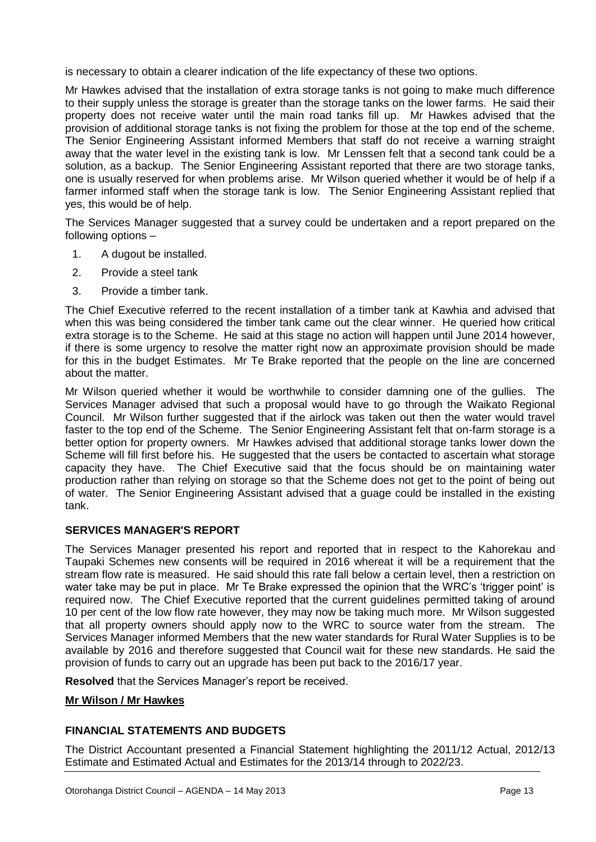is necessary to obtain a clearer indication of the life expectancy of these two options.

Mr Hawkes advised that the installation of extra storage tanks is not going to make much difference to their supply unless the storage is greater than the storage tanks on the lower farms. He said their property does not receive water until the main road tanks fill up. Mr Hawkes advised that the provision of additional storage tanks is not fixing the problem for those at the top end of the scheme. The Senior Engineering Assistant informed Members that staff do not receive a warning straight away that the water level in the existing tank is low. Mr Lenssen felt that a second tank could be a solution, as a backup. The Senior Engineering Assistant reported that there are two storage tanks, one is usually reserved for when problems arise. Mr Wilson queried whether it would be of help if a farmer informed staff when the storage tank is low. The Senior Engineering Assistant replied that yes, this would be of help.

The Services Manager suggested that a survey could be undertaken and a report prepared on the following options –

- 1. A dugout be installed.
- 2. Provide a steel tank
- 3. Provide a timber tank.

The Chief Executive referred to the recent installation of a timber tank at Kawhia and advised that when this was being considered the timber tank came out the clear winner. He queried how critical extra storage is to the Scheme. He said at this stage no action will happen until June 2014 however. if there is some urgency to resolve the matter right now an approximate provision should be made for this in the budget Estimates. Mr Te Brake reported that the people on the line are concerned about the matter.

Mr Wilson queried whether it would be worthwhile to consider damning one of the gullies. The Services Manager advised that such a proposal would have to go through the Waikato Regional Council. Mr Wilson further suggested that if the airlock was taken out then the water would travel faster to the top end of the Scheme. The Senior Engineering Assistant felt that on-farm storage is a better option for property owners. Mr Hawkes advised that additional storage tanks lower down the Scheme will fill first before his. He suggested that the users be contacted to ascertain what storage capacity they have. The Chief Executive said that the focus should be on maintaining water production rather than relying on storage so that the Scheme does not get to the point of being out of water. The Senior Engineering Assistant advised that a guage could be installed in the existing tank.

# **SERVICES MANAGER'S REPORT**

The Services Manager presented his report and reported that in respect to the Kahorekau and Taupaki Schemes new consents will be required in 2016 whereat it will be a requirement that the stream flow rate is measured. He said should this rate fall below a certain level, then a restriction on water take may be put in place. Mr Te Brake expressed the opinion that the WRC's 'trigger point' is required now. The Chief Executive reported that the current guidelines permitted taking of around 10 per cent of the low flow rate however, they may now be taking much more. Mr Wilson suggested that all property owners should apply now to the WRC to source water from the stream. The Services Manager informed Members that the new water standards for Rural Water Supplies is to be available by 2016 and therefore suggested that Council wait for these new standards. He said the provision of funds to carry out an upgrade has been put back to the 2016/17 year.

**Resolved** that the Services Manager's report be received.

# **Mr Wilson / Mr Hawkes**

# **FINANCIAL STATEMENTS AND BUDGETS**

The District Accountant presented a Financial Statement highlighting the 2011/12 Actual, 2012/13 Estimate and Estimated Actual and Estimates for the 2013/14 through to 2022/23.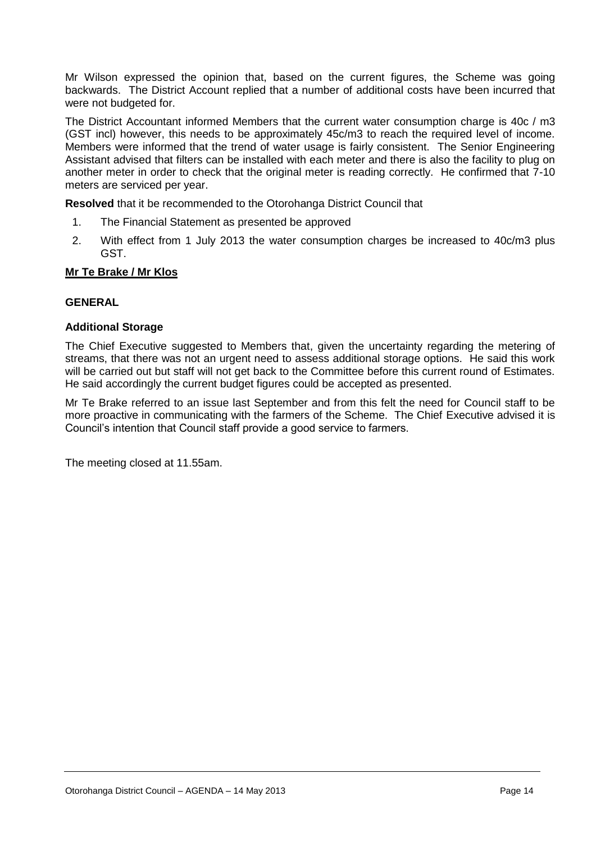Mr Wilson expressed the opinion that, based on the current figures, the Scheme was going backwards. The District Account replied that a number of additional costs have been incurred that were not budgeted for.

The District Accountant informed Members that the current water consumption charge is 40c / m3 (GST incl) however, this needs to be approximately 45c/m3 to reach the required level of income. Members were informed that the trend of water usage is fairly consistent. The Senior Engineering Assistant advised that filters can be installed with each meter and there is also the facility to plug on another meter in order to check that the original meter is reading correctly. He confirmed that 7-10 meters are serviced per year.

**Resolved** that it be recommended to the Otorohanga District Council that

- 1. The Financial Statement as presented be approved
- 2. With effect from 1 July 2013 the water consumption charges be increased to 40c/m3 plus GST.

# **Mr Te Brake / Mr Klos**

# **GENERAL**

# **Additional Storage**

The Chief Executive suggested to Members that, given the uncertainty regarding the metering of streams, that there was not an urgent need to assess additional storage options. He said this work will be carried out but staff will not get back to the Committee before this current round of Estimates. He said accordingly the current budget figures could be accepted as presented.

Mr Te Brake referred to an issue last September and from this felt the need for Council staff to be more proactive in communicating with the farmers of the Scheme. The Chief Executive advised it is Council's intention that Council staff provide a good service to farmers.

The meeting closed at 11.55am.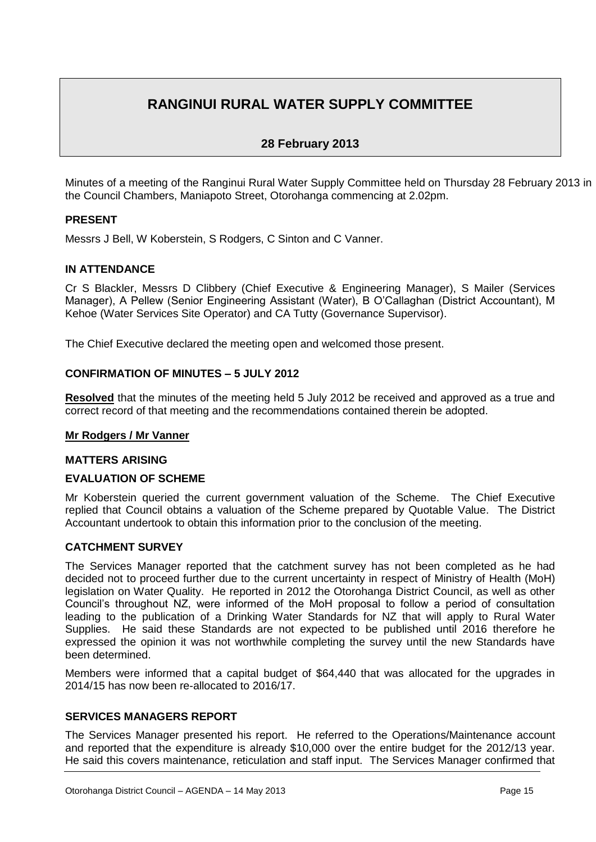# **RANGINUI RURAL WATER SUPPLY COMMITTEE**

# **28 February 2013**

Minutes of a meeting of the Ranginui Rural Water Supply Committee held on Thursday 28 February 2013 in the Council Chambers, Maniapoto Street, Otorohanga commencing at 2.02pm.

# **PRESENT**

Messrs J Bell, W Koberstein, S Rodgers, C Sinton and C Vanner.

# **IN ATTENDANCE**

Cr S Blackler, Messrs D Clibbery (Chief Executive & Engineering Manager), S Mailer (Services Manager), A Pellew (Senior Engineering Assistant (Water), B O'Callaghan (District Accountant), M Kehoe (Water Services Site Operator) and CA Tutty (Governance Supervisor).

The Chief Executive declared the meeting open and welcomed those present.

# **CONFIRMATION OF MINUTES – 5 JULY 2012**

**Resolved** that the minutes of the meeting held 5 July 2012 be received and approved as a true and correct record of that meeting and the recommendations contained therein be adopted.

# **Mr Rodgers / Mr Vanner**

# **MATTERS ARISING**

# **EVALUATION OF SCHEME**

Mr Koberstein queried the current government valuation of the Scheme. The Chief Executive replied that Council obtains a valuation of the Scheme prepared by Quotable Value. The District Accountant undertook to obtain this information prior to the conclusion of the meeting.

# **CATCHMENT SURVEY**

The Services Manager reported that the catchment survey has not been completed as he had decided not to proceed further due to the current uncertainty in respect of Ministry of Health (MoH) legislation on Water Quality. He reported in 2012 the Otorohanga District Council, as well as other Council's throughout NZ, were informed of the MoH proposal to follow a period of consultation leading to the publication of a Drinking Water Standards for NZ that will apply to Rural Water Supplies. He said these Standards are not expected to be published until 2016 therefore he expressed the opinion it was not worthwhile completing the survey until the new Standards have been determined.

Members were informed that a capital budget of \$64,440 that was allocated for the upgrades in 2014/15 has now been re-allocated to 2016/17.

# **SERVICES MANAGERS REPORT**

The Services Manager presented his report. He referred to the Operations/Maintenance account and reported that the expenditure is already \$10,000 over the entire budget for the 2012/13 year. He said this covers maintenance, reticulation and staff input. The Services Manager confirmed that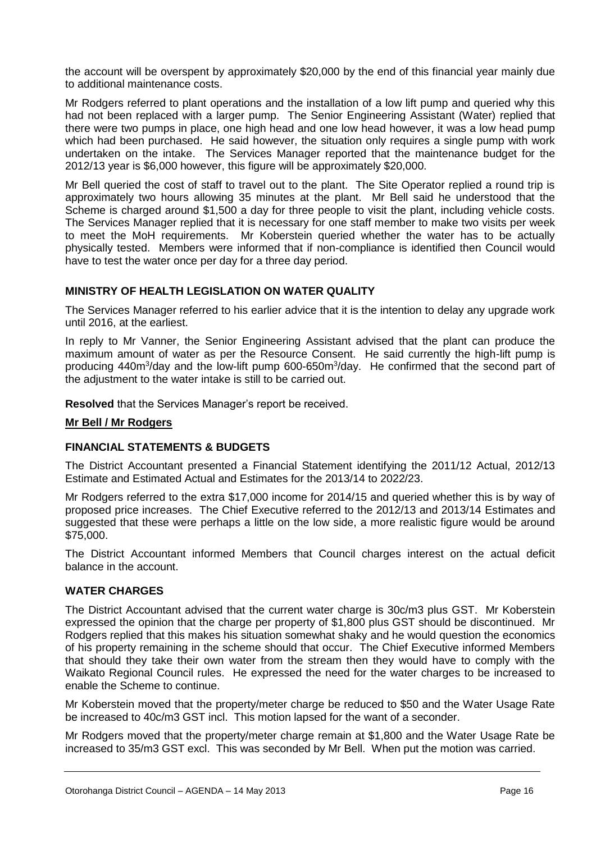the account will be overspent by approximately \$20,000 by the end of this financial year mainly due to additional maintenance costs.

Mr Rodgers referred to plant operations and the installation of a low lift pump and queried why this had not been replaced with a larger pump. The Senior Engineering Assistant (Water) replied that there were two pumps in place, one high head and one low head however, it was a low head pump which had been purchased. He said however, the situation only requires a single pump with work undertaken on the intake. The Services Manager reported that the maintenance budget for the 2012/13 year is \$6,000 however, this figure will be approximately \$20,000.

Mr Bell queried the cost of staff to travel out to the plant. The Site Operator replied a round trip is approximately two hours allowing 35 minutes at the plant. Mr Bell said he understood that the Scheme is charged around \$1,500 a day for three people to visit the plant, including vehicle costs. The Services Manager replied that it is necessary for one staff member to make two visits per week to meet the MoH requirements. Mr Koberstein queried whether the water has to be actually physically tested. Members were informed that if non-compliance is identified then Council would have to test the water once per day for a three day period.

# **MINISTRY OF HEALTH LEGISLATION ON WATER QUALITY**

The Services Manager referred to his earlier advice that it is the intention to delay any upgrade work until 2016, at the earliest.

In reply to Mr Vanner, the Senior Engineering Assistant advised that the plant can produce the maximum amount of water as per the Resource Consent. He said currently the high-lift pump is producing 440m<sup>3</sup>/day and the low-lift pump 600-650m<sup>3</sup>/day. He confirmed that the second part of the adjustment to the water intake is still to be carried out.

**Resolved** that the Services Manager's report be received.

# **Mr Bell / Mr Rodgers**

# **FINANCIAL STATEMENTS & BUDGETS**

The District Accountant presented a Financial Statement identifying the 2011/12 Actual, 2012/13 Estimate and Estimated Actual and Estimates for the 2013/14 to 2022/23.

Mr Rodgers referred to the extra \$17,000 income for 2014/15 and queried whether this is by way of proposed price increases. The Chief Executive referred to the 2012/13 and 2013/14 Estimates and suggested that these were perhaps a little on the low side, a more realistic figure would be around \$75,000.

The District Accountant informed Members that Council charges interest on the actual deficit balance in the account.

# **WATER CHARGES**

The District Accountant advised that the current water charge is 30c/m3 plus GST. Mr Koberstein expressed the opinion that the charge per property of \$1,800 plus GST should be discontinued. Mr Rodgers replied that this makes his situation somewhat shaky and he would question the economics of his property remaining in the scheme should that occur. The Chief Executive informed Members that should they take their own water from the stream then they would have to comply with the Waikato Regional Council rules. He expressed the need for the water charges to be increased to enable the Scheme to continue.

Mr Koberstein moved that the property/meter charge be reduced to \$50 and the Water Usage Rate be increased to 40c/m3 GST incl. This motion lapsed for the want of a seconder.

Mr Rodgers moved that the property/meter charge remain at \$1,800 and the Water Usage Rate be increased to 35/m3 GST excl. This was seconded by Mr Bell. When put the motion was carried.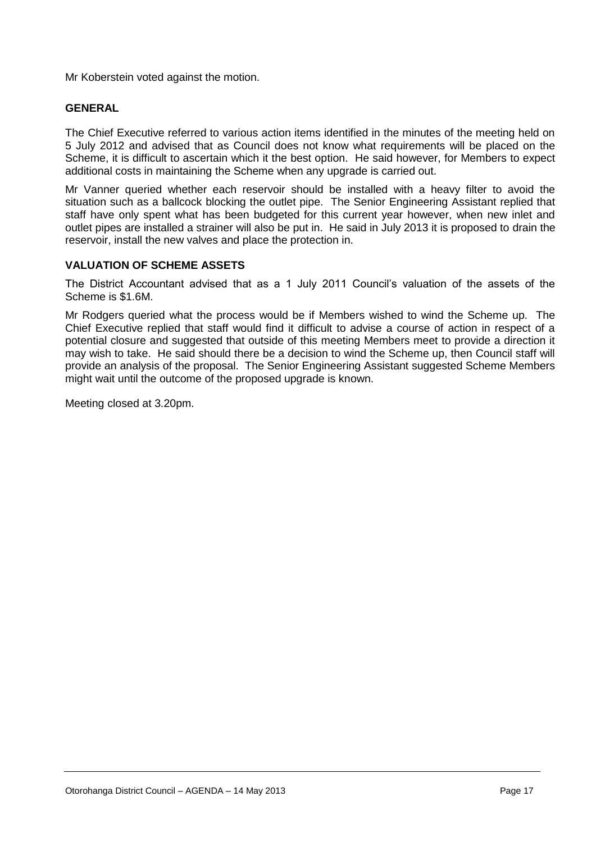Mr Koberstein voted against the motion.

# **GENERAL**

The Chief Executive referred to various action items identified in the minutes of the meeting held on 5 July 2012 and advised that as Council does not know what requirements will be placed on the Scheme, it is difficult to ascertain which it the best option. He said however, for Members to expect additional costs in maintaining the Scheme when any upgrade is carried out.

Mr Vanner queried whether each reservoir should be installed with a heavy filter to avoid the situation such as a ballcock blocking the outlet pipe. The Senior Engineering Assistant replied that staff have only spent what has been budgeted for this current year however, when new inlet and outlet pipes are installed a strainer will also be put in. He said in July 2013 it is proposed to drain the reservoir, install the new valves and place the protection in.

# **VALUATION OF SCHEME ASSETS**

The District Accountant advised that as a 1 July 2011 Council's valuation of the assets of the Scheme is \$1.6M.

Mr Rodgers queried what the process would be if Members wished to wind the Scheme up. The Chief Executive replied that staff would find it difficult to advise a course of action in respect of a potential closure and suggested that outside of this meeting Members meet to provide a direction it may wish to take. He said should there be a decision to wind the Scheme up, then Council staff will provide an analysis of the proposal. The Senior Engineering Assistant suggested Scheme Members might wait until the outcome of the proposed upgrade is known.

Meeting closed at 3.20pm.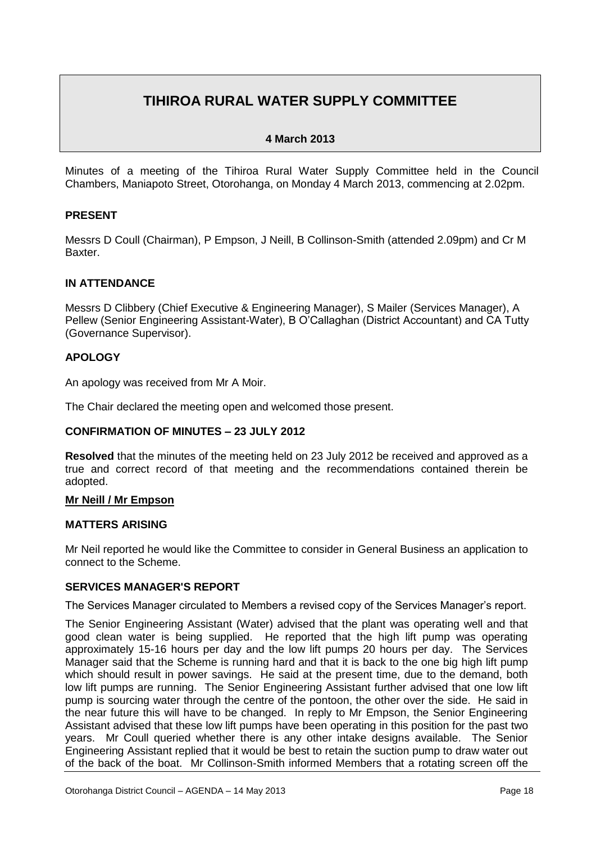# **TIHIROA RURAL WATER SUPPLY COMMITTEE**

# **4 March 2013**

Minutes of a meeting of the Tihiroa Rural Water Supply Committee held in the Council Chambers, Maniapoto Street, Otorohanga, on Monday 4 March 2013, commencing at 2.02pm.

# **PRESENT**

Messrs D Coull (Chairman), P Empson, J Neill, B Collinson-Smith (attended 2.09pm) and Cr M Baxter.

# **IN ATTENDANCE**

Messrs D Clibbery (Chief Executive & Engineering Manager), S Mailer (Services Manager), A Pellew (Senior Engineering Assistant-Water), B O'Callaghan (District Accountant) and CA Tutty (Governance Supervisor).

# **APOLOGY**

An apology was received from Mr A Moir.

The Chair declared the meeting open and welcomed those present.

# **CONFIRMATION OF MINUTES – 23 JULY 2012**

**Resolved** that the minutes of the meeting held on 23 July 2012 be received and approved as a true and correct record of that meeting and the recommendations contained therein be adopted.

# **Mr Neill / Mr Empson**

# **MATTERS ARISING**

Mr Neil reported he would like the Committee to consider in General Business an application to connect to the Scheme.

# **SERVICES MANAGER'S REPORT**

The Services Manager circulated to Members a revised copy of the Services Manager's report.

The Senior Engineering Assistant (Water) advised that the plant was operating well and that good clean water is being supplied. He reported that the high lift pump was operating approximately 15-16 hours per day and the low lift pumps 20 hours per day. The Services Manager said that the Scheme is running hard and that it is back to the one big high lift pump which should result in power savings. He said at the present time, due to the demand, both low lift pumps are running. The Senior Engineering Assistant further advised that one low lift pump is sourcing water through the centre of the pontoon, the other over the side. He said in the near future this will have to be changed. In reply to Mr Empson, the Senior Engineering Assistant advised that these low lift pumps have been operating in this position for the past two years. Mr Coull queried whether there is any other intake designs available. The Senior Engineering Assistant replied that it would be best to retain the suction pump to draw water out of the back of the boat. Mr Collinson-Smith informed Members that a rotating screen off the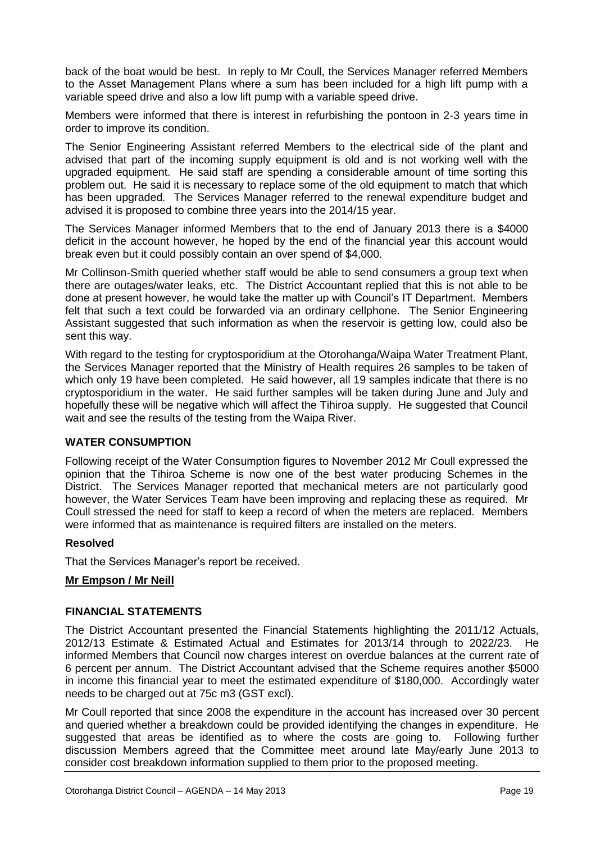back of the boat would be best. In reply to Mr Coull, the Services Manager referred Members to the Asset Management Plans where a sum has been included for a high lift pump with a variable speed drive and also a low lift pump with a variable speed drive.

Members were informed that there is interest in refurbishing the pontoon in 2-3 years time in order to improve its condition.

The Senior Engineering Assistant referred Members to the electrical side of the plant and advised that part of the incoming supply equipment is old and is not working well with the upgraded equipment. He said staff are spending a considerable amount of time sorting this problem out. He said it is necessary to replace some of the old equipment to match that which has been upgraded. The Services Manager referred to the renewal expenditure budget and advised it is proposed to combine three years into the 2014/15 year.

The Services Manager informed Members that to the end of January 2013 there is a \$4000 deficit in the account however, he hoped by the end of the financial year this account would break even but it could possibly contain an over spend of \$4,000.

Mr Collinson-Smith queried whether staff would be able to send consumers a group text when there are outages/water leaks, etc. The District Accountant replied that this is not able to be done at present however, he would take the matter up with Council's IT Department. Members felt that such a text could be forwarded via an ordinary cellphone. The Senior Engineering Assistant suggested that such information as when the reservoir is getting low, could also be sent this way.

With regard to the testing for cryptosporidium at the Otorohanga/Waipa Water Treatment Plant, the Services Manager reported that the Ministry of Health requires 26 samples to be taken of which only 19 have been completed. He said however, all 19 samples indicate that there is no cryptosporidium in the water. He said further samples will be taken during June and July and hopefully these will be negative which will affect the Tihiroa supply. He suggested that Council wait and see the results of the testing from the Waipa River.

# **WATER CONSUMPTION**

Following receipt of the Water Consumption figures to November 2012 Mr Coull expressed the opinion that the Tihiroa Scheme is now one of the best water producing Schemes in the District. The Services Manager reported that mechanical meters are not particularly good however, the Water Services Team have been improving and replacing these as required. Mr Coull stressed the need for staff to keep a record of when the meters are replaced. Members were informed that as maintenance is required filters are installed on the meters.

# **Resolved**

That the Services Manager's report be received.

# **Mr Empson / Mr Neill**

# **FINANCIAL STATEMENTS**

The District Accountant presented the Financial Statements highlighting the 2011/12 Actuals, 2012/13 Estimate & Estimated Actual and Estimates for 2013/14 through to 2022/23. He informed Members that Council now charges interest on overdue balances at the current rate of 6 percent per annum. The District Accountant advised that the Scheme requires another \$5000 in income this financial year to meet the estimated expenditure of \$180,000. Accordingly water needs to be charged out at 75c m3 (GST excl).

Mr Coull reported that since 2008 the expenditure in the account has increased over 30 percent and queried whether a breakdown could be provided identifying the changes in expenditure. He suggested that areas be identified as to where the costs are going to. Following further discussion Members agreed that the Committee meet around late May/early June 2013 to consider cost breakdown information supplied to them prior to the proposed meeting.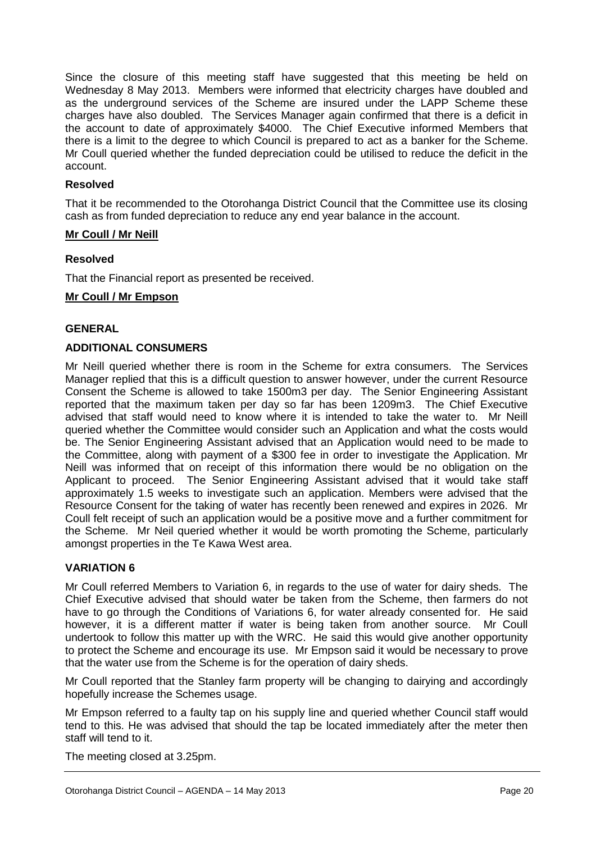Since the closure of this meeting staff have suggested that this meeting be held on Wednesday 8 May 2013. Members were informed that electricity charges have doubled and as the underground services of the Scheme are insured under the LAPP Scheme these charges have also doubled. The Services Manager again confirmed that there is a deficit in the account to date of approximately \$4000. The Chief Executive informed Members that there is a limit to the degree to which Council is prepared to act as a banker for the Scheme. Mr Coull queried whether the funded depreciation could be utilised to reduce the deficit in the account.

# **Resolved**

That it be recommended to the Otorohanga District Council that the Committee use its closing cash as from funded depreciation to reduce any end year balance in the account.

# **Mr Coull / Mr Neill**

# **Resolved**

That the Financial report as presented be received.

## **Mr Coull / Mr Empson**

# **GENERAL**

# **ADDITIONAL CONSUMERS**

Mr Neill queried whether there is room in the Scheme for extra consumers. The Services Manager replied that this is a difficult question to answer however, under the current Resource Consent the Scheme is allowed to take 1500m3 per day. The Senior Engineering Assistant reported that the maximum taken per day so far has been 1209m3. The Chief Executive advised that staff would need to know where it is intended to take the water to. Mr Neill queried whether the Committee would consider such an Application and what the costs would be. The Senior Engineering Assistant advised that an Application would need to be made to the Committee, along with payment of a \$300 fee in order to investigate the Application. Mr Neill was informed that on receipt of this information there would be no obligation on the Applicant to proceed. The Senior Engineering Assistant advised that it would take staff approximately 1.5 weeks to investigate such an application. Members were advised that the Resource Consent for the taking of water has recently been renewed and expires in 2026. Mr Coull felt receipt of such an application would be a positive move and a further commitment for the Scheme. Mr Neil queried whether it would be worth promoting the Scheme, particularly amongst properties in the Te Kawa West area.

# **VARIATION 6**

Mr Coull referred Members to Variation 6, in regards to the use of water for dairy sheds. The Chief Executive advised that should water be taken from the Scheme, then farmers do not have to go through the Conditions of Variations 6, for water already consented for. He said however, it is a different matter if water is being taken from another source. Mr Coull undertook to follow this matter up with the WRC. He said this would give another opportunity to protect the Scheme and encourage its use. Mr Empson said it would be necessary to prove that the water use from the Scheme is for the operation of dairy sheds.

Mr Coull reported that the Stanley farm property will be changing to dairying and accordingly hopefully increase the Schemes usage.

Mr Empson referred to a faulty tap on his supply line and queried whether Council staff would tend to this. He was advised that should the tap be located immediately after the meter then staff will tend to it.

The meeting closed at 3.25pm.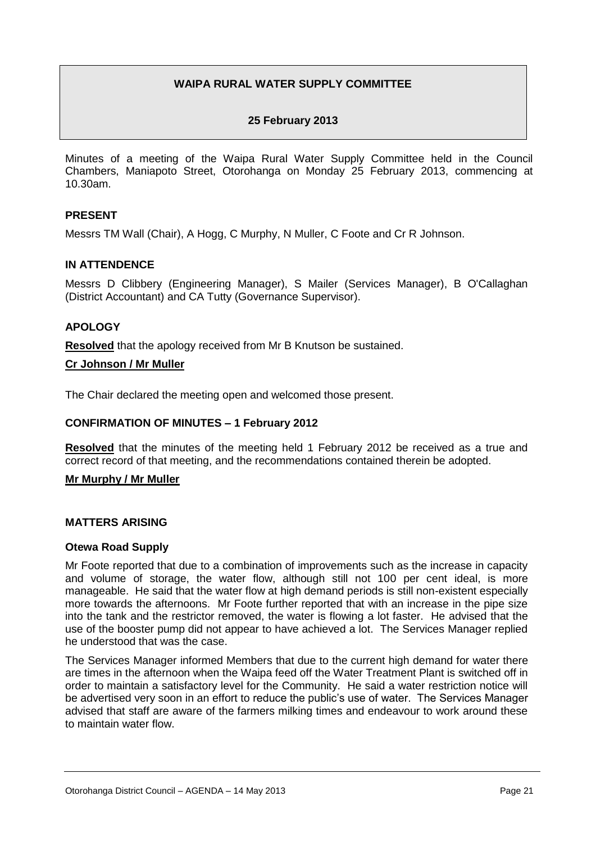# **WAIPA RURAL WATER SUPPLY COMMITTEE**

# **25 February 2013**

Minutes of a meeting of the Waipa Rural Water Supply Committee held in the Council Chambers, Maniapoto Street, Otorohanga on Monday 25 February 2013, commencing at 10.30am.

# **PRESENT**

Messrs TM Wall (Chair), A Hogg, C Murphy, N Muller, C Foote and Cr R Johnson.

# **IN ATTENDENCE**

Messrs D Clibbery (Engineering Manager), S Mailer (Services Manager), B O'Callaghan (District Accountant) and CA Tutty (Governance Supervisor).

# **APOLOGY**

**Resolved** that the apology received from Mr B Knutson be sustained.

# **Cr Johnson / Mr Muller**

The Chair declared the meeting open and welcomed those present.

# **CONFIRMATION OF MINUTES – 1 February 2012**

**Resolved** that the minutes of the meeting held 1 February 2012 be received as a true and correct record of that meeting, and the recommendations contained therein be adopted.

# **Mr Murphy / Mr Muller**

# **MATTERS ARISING**

# **Otewa Road Supply**

Mr Foote reported that due to a combination of improvements such as the increase in capacity and volume of storage, the water flow, although still not 100 per cent ideal, is more manageable. He said that the water flow at high demand periods is still non-existent especially more towards the afternoons. Mr Foote further reported that with an increase in the pipe size into the tank and the restrictor removed, the water is flowing a lot faster. He advised that the use of the booster pump did not appear to have achieved a lot. The Services Manager replied he understood that was the case.

The Services Manager informed Members that due to the current high demand for water there are times in the afternoon when the Waipa feed off the Water Treatment Plant is switched off in order to maintain a satisfactory level for the Community. He said a water restriction notice will be advertised very soon in an effort to reduce the public's use of water. The Services Manager advised that staff are aware of the farmers milking times and endeavour to work around these to maintain water flow.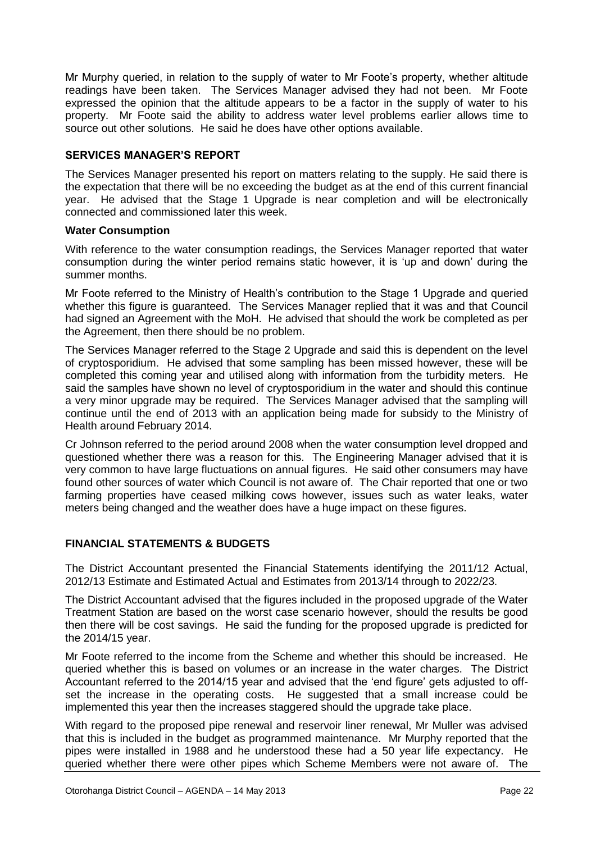Mr Murphy queried, in relation to the supply of water to Mr Foote's property, whether altitude readings have been taken. The Services Manager advised they had not been. Mr Foote expressed the opinion that the altitude appears to be a factor in the supply of water to his property. Mr Foote said the ability to address water level problems earlier allows time to source out other solutions. He said he does have other options available.

# **SERVICES MANAGER'S REPORT**

The Services Manager presented his report on matters relating to the supply. He said there is the expectation that there will be no exceeding the budget as at the end of this current financial year. He advised that the Stage 1 Upgrade is near completion and will be electronically connected and commissioned later this week.

# **Water Consumption**

With reference to the water consumption readings, the Services Manager reported that water consumption during the winter period remains static however, it is 'up and down' during the summer months.

Mr Foote referred to the Ministry of Health's contribution to the Stage 1 Upgrade and queried whether this figure is guaranteed. The Services Manager replied that it was and that Council had signed an Agreement with the MoH. He advised that should the work be completed as per the Agreement, then there should be no problem.

The Services Manager referred to the Stage 2 Upgrade and said this is dependent on the level of cryptosporidium. He advised that some sampling has been missed however, these will be completed this coming year and utilised along with information from the turbidity meters. He said the samples have shown no level of cryptosporidium in the water and should this continue a very minor upgrade may be required. The Services Manager advised that the sampling will continue until the end of 2013 with an application being made for subsidy to the Ministry of Health around February 2014.

Cr Johnson referred to the period around 2008 when the water consumption level dropped and questioned whether there was a reason for this. The Engineering Manager advised that it is very common to have large fluctuations on annual figures. He said other consumers may have found other sources of water which Council is not aware of. The Chair reported that one or two farming properties have ceased milking cows however, issues such as water leaks, water meters being changed and the weather does have a huge impact on these figures.

# **FINANCIAL STATEMENTS & BUDGETS**

The District Accountant presented the Financial Statements identifying the 2011/12 Actual, 2012/13 Estimate and Estimated Actual and Estimates from 2013/14 through to 2022/23.

The District Accountant advised that the figures included in the proposed upgrade of the Water Treatment Station are based on the worst case scenario however, should the results be good then there will be cost savings. He said the funding for the proposed upgrade is predicted for the 2014/15 year.

Mr Foote referred to the income from the Scheme and whether this should be increased. He queried whether this is based on volumes or an increase in the water charges. The District Accountant referred to the 2014/15 year and advised that the 'end figure' gets adjusted to offset the increase in the operating costs. He suggested that a small increase could be implemented this year then the increases staggered should the upgrade take place.

With regard to the proposed pipe renewal and reservoir liner renewal, Mr Muller was advised that this is included in the budget as programmed maintenance. Mr Murphy reported that the pipes were installed in 1988 and he understood these had a 50 year life expectancy. He queried whether there were other pipes which Scheme Members were not aware of. The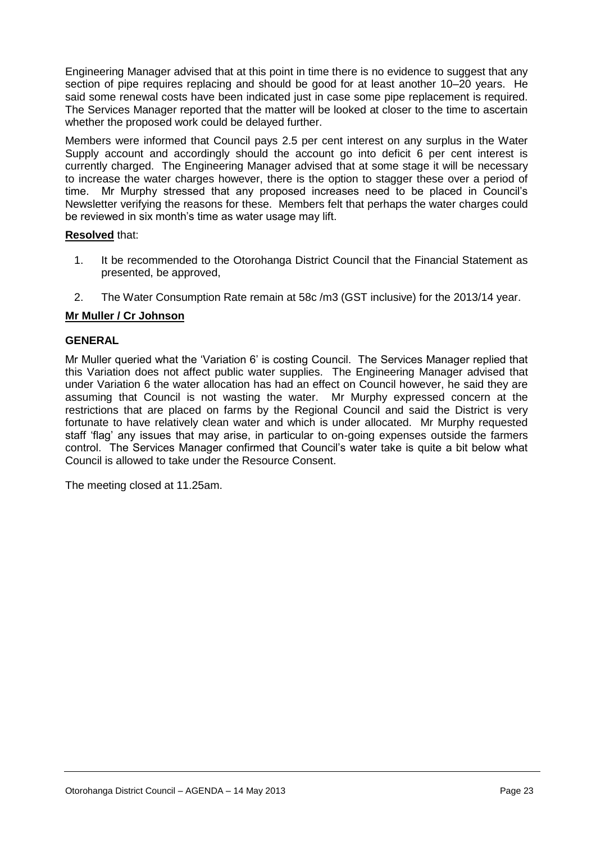Engineering Manager advised that at this point in time there is no evidence to suggest that any section of pipe requires replacing and should be good for at least another 10–20 years. He said some renewal costs have been indicated just in case some pipe replacement is required. The Services Manager reported that the matter will be looked at closer to the time to ascertain whether the proposed work could be delayed further.

Members were informed that Council pays 2.5 per cent interest on any surplus in the Water Supply account and accordingly should the account go into deficit 6 per cent interest is currently charged. The Engineering Manager advised that at some stage it will be necessary to increase the water charges however, there is the option to stagger these over a period of time. Mr Murphy stressed that any proposed increases need to be placed in Council's Newsletter verifying the reasons for these. Members felt that perhaps the water charges could be reviewed in six month's time as water usage may lift.

# **Resolved** that:

- 1. It be recommended to the Otorohanga District Council that the Financial Statement as presented, be approved,
- 2. The Water Consumption Rate remain at 58c /m3 (GST inclusive) for the 2013/14 year.

# **Mr Muller / Cr Johnson**

# **GENERAL**

Mr Muller queried what the 'Variation 6' is costing Council. The Services Manager replied that this Variation does not affect public water supplies. The Engineering Manager advised that under Variation 6 the water allocation has had an effect on Council however, he said they are assuming that Council is not wasting the water. Mr Murphy expressed concern at the restrictions that are placed on farms by the Regional Council and said the District is very fortunate to have relatively clean water and which is under allocated. Mr Murphy requested staff 'flag' any issues that may arise, in particular to on-going expenses outside the farmers control. The Services Manager confirmed that Council's water take is quite a bit below what Council is allowed to take under the Resource Consent.

The meeting closed at 11.25am.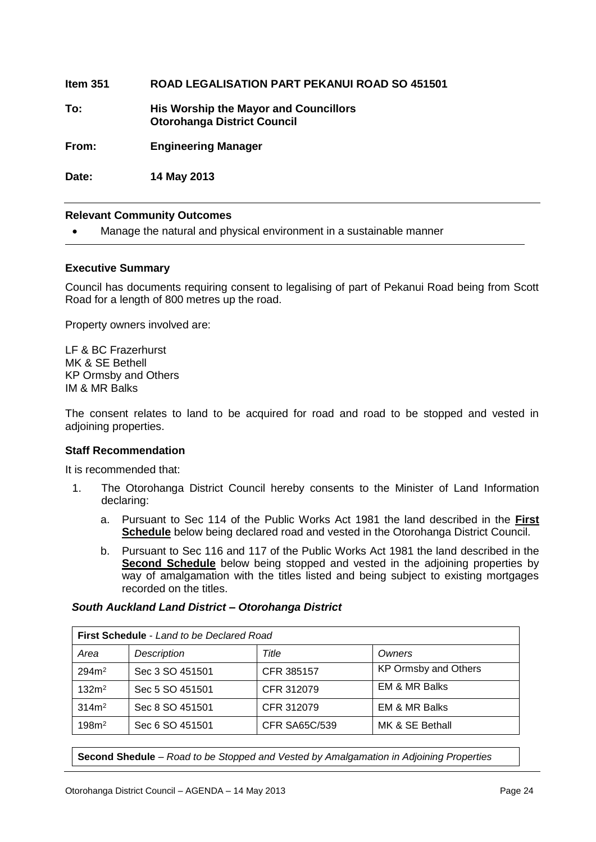| ltem 351 | <b>ROAD LEGALISATION PART PEKANUI ROAD SO 451501</b> |
|----------|------------------------------------------------------|
|          |                                                      |

**To: His Worship the Mayor and Councillors Otorohanga District Council**

**From: Engineering Manager**

**Date: 14 May 2013**

# **Relevant Community Outcomes**

Manage the natural and physical environment in a sustainable manner

# **Executive Summary**

Council has documents requiring consent to legalising of part of Pekanui Road being from Scott Road for a length of 800 metres up the road.

Property owners involved are:

LF & BC Frazerhurst MK & SE Bethell KP Ormsby and Others IM & MR Balks

The consent relates to land to be acquired for road and road to be stopped and vested in adjoining properties.

# **Staff Recommendation**

It is recommended that:

- 1. The Otorohanga District Council hereby consents to the Minister of Land Information declaring:
	- a. Pursuant to Sec 114 of the Public Works Act 1981 the land described in the **First Schedule** below being declared road and vested in the Otorohanga District Council.
	- b. Pursuant to Sec 116 and 117 of the Public Works Act 1981 the land described in the **Second Schedule** below being stopped and vested in the adjoining properties by way of amalgamation with the titles listed and being subject to existing mortgages recorded on the titles.

# *South Auckland Land District – Otorohanga District*

| First Schedule - Land to be Declared Road |                 |                      |                             |  |
|-------------------------------------------|-----------------|----------------------|-----------------------------|--|
| Area                                      | Description     | Title                | Owners                      |  |
| 294m <sup>2</sup>                         | Sec 3 SO 451501 | CFR 385157           | <b>KP Ormsby and Others</b> |  |
| 132m <sup>2</sup>                         | Sec 5 SO 451501 | CFR 312079           | <b>EM &amp; MR Balks</b>    |  |
| 314m <sup>2</sup>                         | Sec 8 SO 451501 | CFR 312079           | EM & MR Balks               |  |
| 198m <sup>2</sup>                         | Sec 6 SO 451501 | <b>CFR SA65C/539</b> | MK & SE Bethall             |  |

**Second Shedule** – *Road to be Stopped and Vested by Amalgamation in Adjoining Properties*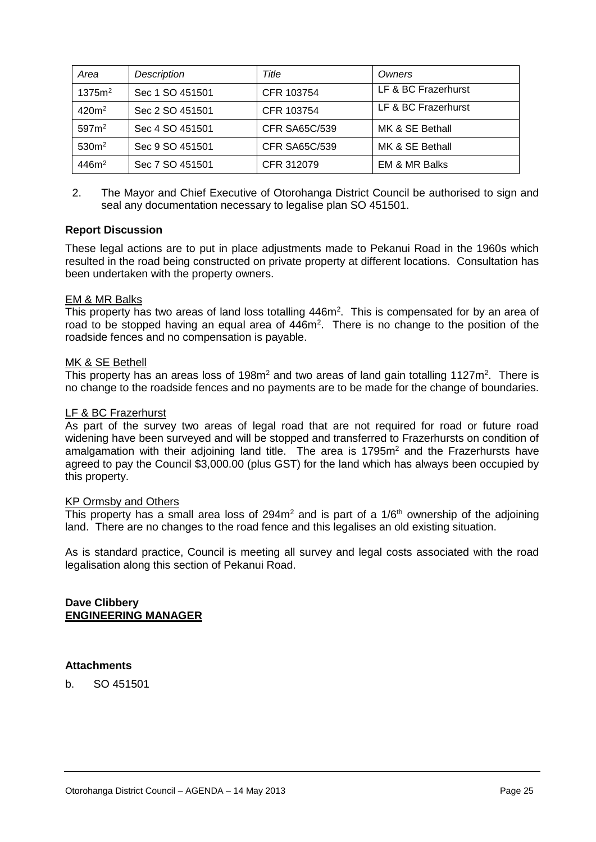| Area               | Description     | Title                | Owners                   |
|--------------------|-----------------|----------------------|--------------------------|
| 1375m <sup>2</sup> | Sec 1 SO 451501 | CFR 103754           | LF & BC Frazerhurst      |
| $420m^2$           | Sec 2 SO 451501 | CFR 103754           | LF & BC Frazerhurst      |
| 597m <sup>2</sup>  | Sec 4 SO 451501 | <b>CFR SA65C/539</b> | MK & SE Bethall          |
| 530 <sup>m²</sup>  | Sec 9 SO 451501 | CFR SA65C/539        | MK & SE Bethall          |
| 446m <sup>2</sup>  | Sec 7 SO 451501 | CFR 312079           | <b>EM &amp; MR Balks</b> |

2. The Mayor and Chief Executive of Otorohanga District Council be authorised to sign and seal any documentation necessary to legalise plan SO 451501.

# **Report Discussion**

These legal actions are to put in place adjustments made to Pekanui Road in the 1960s which resulted in the road being constructed on private property at different locations. Consultation has been undertaken with the property owners.

# EM & MR Balks

This property has two areas of land loss totalling 446m<sup>2</sup>. This is compensated for by an area of road to be stopped having an equal area of 446m<sup>2</sup>. There is no change to the position of the roadside fences and no compensation is payable.

# MK & SE Bethell

This property has an areas loss of 198 $m<sup>2</sup>$  and two areas of land gain totalling 1127 $m<sup>2</sup>$ . There is no change to the roadside fences and no payments are to be made for the change of boundaries.

# LF & BC Frazerhurst

As part of the survey two areas of legal road that are not required for road or future road widening have been surveyed and will be stopped and transferred to Frazerhursts on condition of amalgamation with their adjoining land title. The area is  $1795<sup>m²</sup>$  and the Frazerhursts have agreed to pay the Council \$3,000.00 (plus GST) for the land which has always been occupied by this property.

# KP Ormsby and Others

This property has a small area loss of 294 $m<sup>2</sup>$  and is part of a 1/6<sup>th</sup> ownership of the adjoining land. There are no changes to the road fence and this legalises an old existing situation.

As is standard practice, Council is meeting all survey and legal costs associated with the road legalisation along this section of Pekanui Road.

**Dave Clibbery ENGINEERING MANAGER**

# **Attachments**

b. SO 451501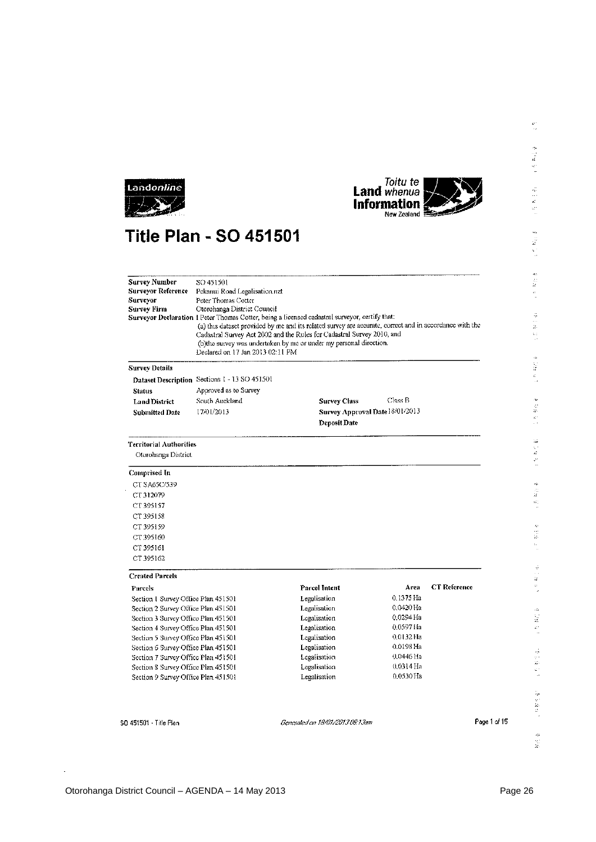



# **Title Plan - SO 451501**

| <b>Survey Number</b>                | SO 451501                                                                                                                                                                                                                                                                                                                                                                                     |                                 |                        |                     |
|-------------------------------------|-----------------------------------------------------------------------------------------------------------------------------------------------------------------------------------------------------------------------------------------------------------------------------------------------------------------------------------------------------------------------------------------------|---------------------------------|------------------------|---------------------|
| <b>Surveyor Reference</b>           | Pekanui Road Legalisation.nzt                                                                                                                                                                                                                                                                                                                                                                 |                                 |                        |                     |
| Surveyor<br>Peter Thomas Cotter     |                                                                                                                                                                                                                                                                                                                                                                                               |                                 |                        |                     |
| <b>Survey Firm</b>                  | Otorohanga District Council                                                                                                                                                                                                                                                                                                                                                                   |                                 |                        |                     |
|                                     | Surveyor Declaration 1 Peter Thomas Cotter, being a licensed cadastral surveyor, certify that:<br>(a) this dataset provided by me and its related survey are accurate, correct and in accordance with the<br>Cadastral Survey Act 2002 and the Rules for Cadastral Survey 2010, and<br>(b)the survey was undertaken by me or under my personal direction.<br>Declared on 17 Jan 2013 02:11 PM |                                 |                        |                     |
| <b>Survey Details</b>               |                                                                                                                                                                                                                                                                                                                                                                                               |                                 |                        |                     |
|                                     | Dataset Description Sections 1 - 13 SO 451501                                                                                                                                                                                                                                                                                                                                                 |                                 |                        |                     |
| <b>Status</b>                       | Approved as to Survey                                                                                                                                                                                                                                                                                                                                                                         |                                 |                        |                     |
| <b>Land District</b>                | South Auckland                                                                                                                                                                                                                                                                                                                                                                                | <b>Survey Class</b>             | Class B                |                     |
| <b>Submitted Date</b>               | 17/01/2013                                                                                                                                                                                                                                                                                                                                                                                    | Survey Approval Date 18/01/2013 |                        |                     |
|                                     |                                                                                                                                                                                                                                                                                                                                                                                               | <b>Deposit Date</b>             |                        |                     |
| Territorial Authorities             |                                                                                                                                                                                                                                                                                                                                                                                               |                                 |                        |                     |
| Otorohanga District                 |                                                                                                                                                                                                                                                                                                                                                                                               |                                 |                        |                     |
| <b>Comprised In</b>                 |                                                                                                                                                                                                                                                                                                                                                                                               |                                 |                        |                     |
| CT SA65C/539                        |                                                                                                                                                                                                                                                                                                                                                                                               |                                 |                        |                     |
| CT 312079                           |                                                                                                                                                                                                                                                                                                                                                                                               |                                 |                        |                     |
| CT 395157                           |                                                                                                                                                                                                                                                                                                                                                                                               |                                 |                        |                     |
| CT 395158                           |                                                                                                                                                                                                                                                                                                                                                                                               |                                 |                        |                     |
| CT 395159                           |                                                                                                                                                                                                                                                                                                                                                                                               |                                 |                        |                     |
| CT 395160                           |                                                                                                                                                                                                                                                                                                                                                                                               |                                 |                        |                     |
| CT 395161                           |                                                                                                                                                                                                                                                                                                                                                                                               |                                 |                        |                     |
| CT 395162                           |                                                                                                                                                                                                                                                                                                                                                                                               |                                 |                        |                     |
| <b>Created Parcels</b>              |                                                                                                                                                                                                                                                                                                                                                                                               |                                 |                        |                     |
| Parcels                             |                                                                                                                                                                                                                                                                                                                                                                                               | Parcel Intent                   | Area                   | <b>CT</b> Reference |
| Section 1 Survey Office Plan 451501 |                                                                                                                                                                                                                                                                                                                                                                                               | Legalisation                    | 0.1375 Ha              |                     |
| Section 2 Survey Office Plan 451501 |                                                                                                                                                                                                                                                                                                                                                                                               | Legalisation                    | 0.0420 Ha              |                     |
| Section 3 Survey Office Plan 451501 |                                                                                                                                                                                                                                                                                                                                                                                               | Legalisation                    | 0.0294 Ha              |                     |
| Section 4 Survey Office Plan 451501 |                                                                                                                                                                                                                                                                                                                                                                                               | Legalisation                    | 0.05971fa              |                     |
| Section 5 Survey Office Plan 451501 |                                                                                                                                                                                                                                                                                                                                                                                               | Legalisation                    | 0.0132 Ha              |                     |
| Section 6 Survey Office Plan 451501 |                                                                                                                                                                                                                                                                                                                                                                                               | Legalisation                    | 0.0198 Ha<br>0.0446 Ha |                     |
| Section 7 Survey Office Plan 451501 |                                                                                                                                                                                                                                                                                                                                                                                               | Legalisation                    | $0.0314$ Ha            |                     |
| Section 8 Survey Office Plan 451501 |                                                                                                                                                                                                                                                                                                                                                                                               | Legalisation<br>Legalisation    | 0.0530 Ha              |                     |
| Section 9 Survey Office Plan 451501 |                                                                                                                                                                                                                                                                                                                                                                                               |                                 |                        |                     |
| SD 451501 - Title Plan              |                                                                                                                                                                                                                                                                                                                                                                                               | Generated on 18/01/2013 06:13am |                        | Page 1 of 15        |

l.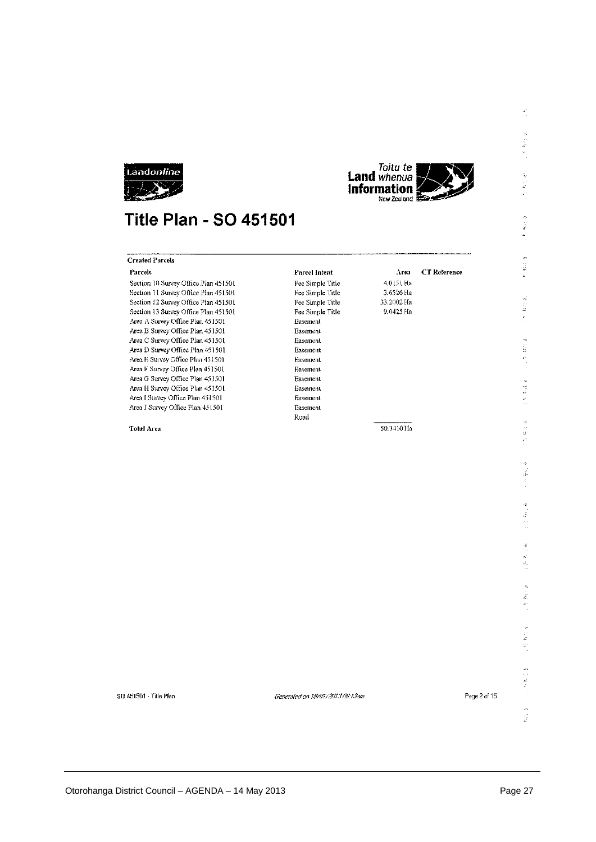



# **Title Plan - SO 451501**

| <b>Created Parcels</b>               |                  |            |                     |
|--------------------------------------|------------------|------------|---------------------|
| <b>Parcels</b>                       | Parcel Intent    | Area       | <b>CT</b> Reference |
| Section 10 Survey Office Plan 451501 | Fee Simple Title | 4.0151 Ha  |                     |
| Section 11 Survey Office Plan 451501 | Fee Simple Title | 3.6526 Ha  |                     |
| Section 12 Survey Office Plan 451501 | Fee Simple Title | 33.2002 Ha |                     |
| Section 13 Survey Office Plan 451501 | Fee Simple Title | 9.0425 Hn  |                     |
| Area A Survey Office Plan 451501     | Easement         |            |                     |
| Area B Survey Office Plan 451501     | Easement         |            |                     |
| Area C Survey Office Plan 451501     | Easement         |            |                     |
| Area D Survey Office Plan 451501     | Easement         |            |                     |
| Area E Survey Office Plan 451501     | Easement         |            |                     |
| Area F Survey Office Plan 451501     | Easement         |            |                     |
| Area G Survey Office Plan 451501     | Easement         |            |                     |
| Area H Survey Office Plan 451501     | Easement         |            |                     |
| Area I Survey Office Plan 451501     | Easement         |            |                     |
| Area J Survey Office Plan 451501     | Easement         |            |                     |
|                                      | Road             |            |                     |
| <b>Total Area</b>                    |                  | 50.3410 Ha |                     |
|                                      |                  |            |                     |
|                                      |                  |            |                     |
|                                      |                  |            |                     |
|                                      |                  |            |                     |
|                                      |                  |            |                     |
|                                      |                  |            |                     |
|                                      |                  |            |                     |
|                                      |                  |            |                     |
|                                      |                  |            |                     |

 $\frac{d^2}{d}$ 

 $\frac{1}{2} \sum_{i=1}^n \frac{1}{2} \sum_{j=1}^n \frac{1}{2} \sum_{j=1}^n \frac{1}{2} \sum_{j=1}^n \frac{1}{2} \sum_{j=1}^n \frac{1}{2} \sum_{j=1}^n \frac{1}{2} \sum_{j=1}^n \frac{1}{2} \sum_{j=1}^n \frac{1}{2} \sum_{j=1}^n \frac{1}{2} \sum_{j=1}^n \frac{1}{2} \sum_{j=1}^n \frac{1}{2} \sum_{j=1}^n \frac{1}{2} \sum_{j=1}^n \frac{1}{2} \sum_{j=$ 

 $\mathcal{L} \subseteq \mathcal{M} \subseteq \mathcal{R}$ 

 $\frac{d\phi}{dt} = \frac{d\phi}{dt}$  $\frac{1}{\sqrt{2}}$ 

 $\begin{bmatrix} 1 & 0 \\ 0 & 1 \\ 0 & 0 \end{bmatrix}$ Ĵ,

 $\frac{1}{2}$  $\frac{\mu}{\mu}$ 

 $\mathbb{F}_2 \times \mathbb{R}$  is  $\mathbb{F}_2$ 

 $\begin{array}{ccc}\n\mathbf{w} & \mathbf{w} & \mathbf{w} \\
\mathbf{w} & \mathbf{w} & \mathbf{w} \\
\mathbf{w} & \mathbf{w} & \mathbf{w}\n\end{array}$ 

 $\frac{1}{2}$  $\begin{bmatrix} 2 \\ 2 \\ 3 \end{bmatrix}$ 

医器头

 $\label{eq:2.1} \frac{1}{2} \left( \begin{array}{cc} \frac{1}{2} & \frac{1}{2} \\ \frac{1}{2} & \frac{1}{2} \\ \frac{1}{2} & \frac{1}{2} \end{array} \right)$ 

 $\begin{aligned} \mathbf{1}_{\mathbf{1}}\mathbf{1}_{\mathbf{2}}\mathbf{1}_{\mathbf{3}}\mathbf{1}_{\mathbf{4}}\mathbf{1}_{\mathbf{5}}\mathbf{1}_{\mathbf{6}}\mathbf{1}_{\mathbf{7}}\mathbf{1}_{\mathbf{8}}\mathbf{1}_{\mathbf{9}}\mathbf{1}_{\mathbf{1}}\mathbf{1}_{\mathbf{1}}\mathbf{1}_{\mathbf{1}}\mathbf{1}_{\mathbf{1}}\mathbf{1}_{\mathbf{1}}\mathbf{1}_{\mathbf{1}}\mathbf{1}_{\mathbf{1}}\mathbf{1}_{\mathbf{1}}\mathbf{1}_{\mathbf{1$ 

 $\frac{1}{2}$  ,  $\frac{1}{2}$  ,  $\frac{1}{2}$  ,  $\frac{1}{2}$ 

 $\begin{array}{c} 1.0 \\ 0.1 \\ 0.1 \\ 0.1 \end{array}$ 

 $\frac{\partial}{\partial t}$ 

50 451501 Title Plan

Generated on 19/01/2013 08:13am

Page 2 of 15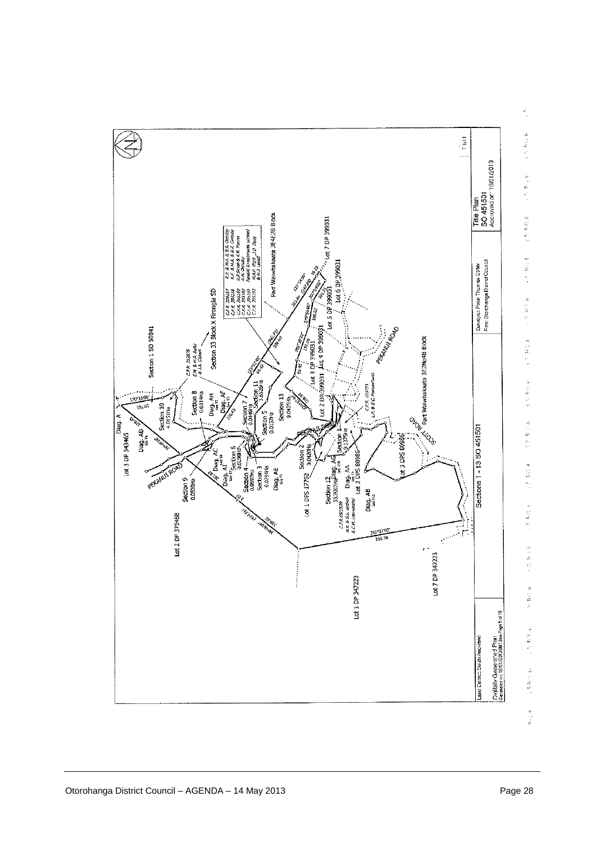

 $\frac{\partial f}{\partial x}$  $\epsilon$  is first  $\delta$  $\frac{d\mu}{d\mu}=\frac{d\mu}{d\mu}=\frac{d\mu}{d\mu},$ 三月 朝廷 真 医生物 医子宫  $\begin{array}{ccc} & 0 & 0 & 0 \\ & 0 & 0 & 0 \\ & 0 & 0 & 0 \\ & 0 & 0 & 0 \\ & 0 & 0 & 0 \\ & 0 & 0 & 0 \\ & 0 & 0 & 0 \\ & 0 & 0 & 0 \\ & 0 & 0 & 0 \\ & 0 & 0 & 0 \\ & 0 & 0 & 0 \\ & 0 & 0 & 0 \\ & 0 & 0 & 0 & 0 \\ & 0 & 0 & 0 & 0 \\ & 0 & 0 & 0 & 0 \\ & 0 & 0 & 0 & 0 & 0 \\ & 0 & 0 & 0 & 0 & 0 \\ & 0 & 0 & 0 & 0 & 0 \\ & 0 & 0$  $\frac{1}{2}$  in Fig. 4 一、 电容量计  $\begin{bmatrix} 1 & 0 & 0 \\ 0 & 0 & 0 \\ 0 & 0 & 0 \end{bmatrix}$  $\pm 2$  B-H  $\pm$  $\begin{bmatrix} 0 \\ 0 \\ 0 \\ 0 \end{bmatrix}$ 高兴病院  $\begin{bmatrix} 1 & 1 & 1 \\ 0 & 1 & 1 \\ 0 & 0 & 1 \end{bmatrix} \begin{bmatrix} 1 \\ 0 \\ 1 \end{bmatrix}$ 中国联合会 4. 热热性病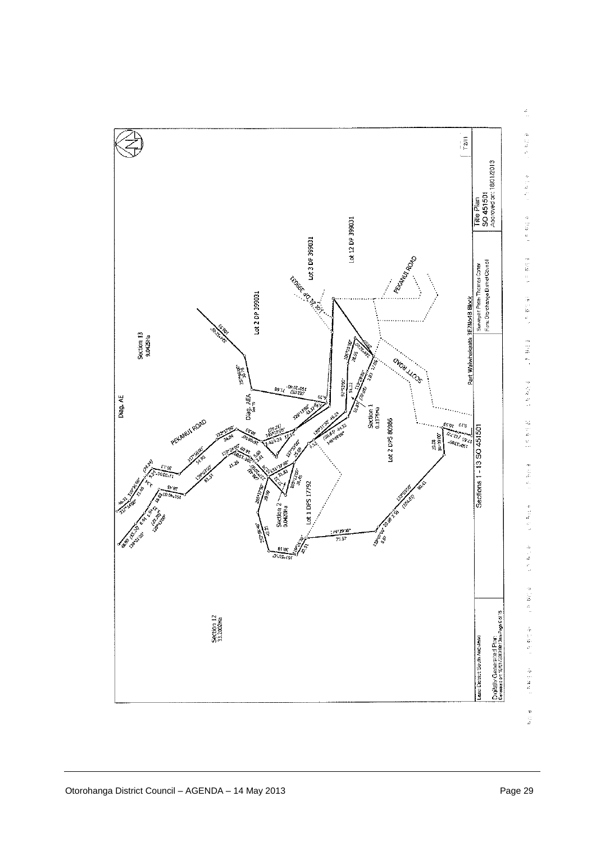

¢,